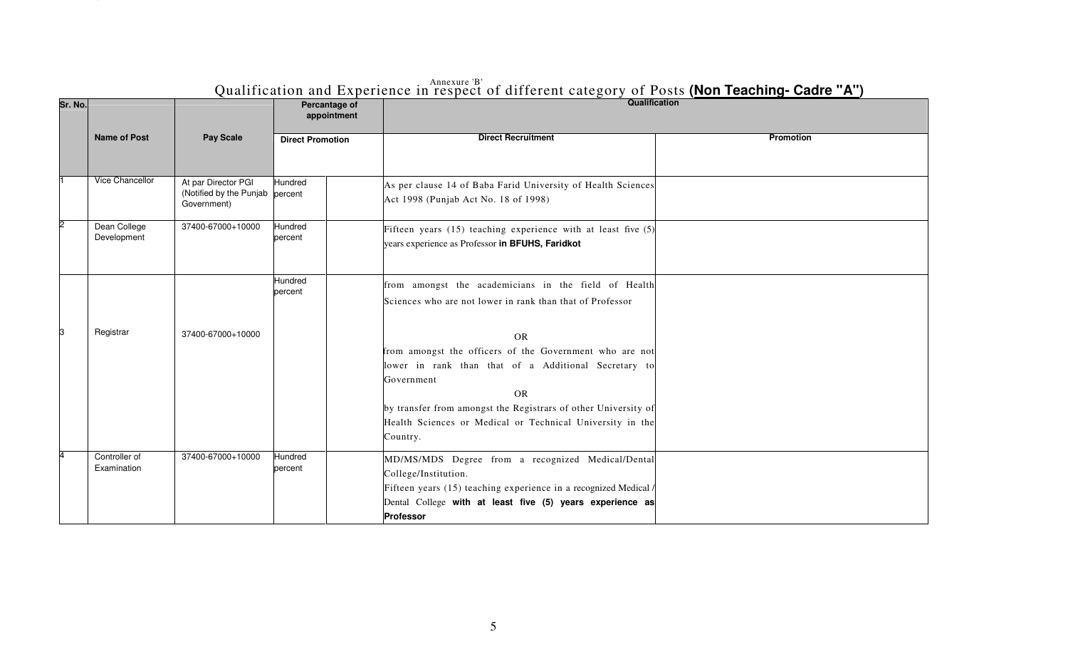| Sr. No. |                              |                                                               | Percantage of<br>appointment | Qualification                                                                                                                                                                                                                                                                                      |                  |
|---------|------------------------------|---------------------------------------------------------------|------------------------------|----------------------------------------------------------------------------------------------------------------------------------------------------------------------------------------------------------------------------------------------------------------------------------------------------|------------------|
|         | <b>Name of Post</b>          | Pay Scale                                                     | <b>Direct Promotion</b>      | <b>Direct Recruitment</b>                                                                                                                                                                                                                                                                          | <b>Promotion</b> |
|         | Vice Chancellor              | At par Director PGI<br>(Notified by the Punjab<br>Government) | Hundred<br>percent           | As per clause 14 of Baba Farid University of Health Sciences<br>Act 1998 (Punjab Act No. 18 of 1998)                                                                                                                                                                                               |                  |
|         | Dean College<br>Development  | 37400-67000+10000                                             | Hundred<br>percent           | Fifteen years (15) teaching experience with at least five (5)<br>years experience as Professor in BFUHS, Faridkot                                                                                                                                                                                  |                  |
|         |                              |                                                               | Hundred<br>percent           | from amongst the academicians in the field of Health<br>Sciences who are not lower in rank than that of Professor                                                                                                                                                                                  |                  |
|         | Registrar                    | 37400-67000+10000                                             |                              | <b>OR</b><br>from amongst the officers of the Government who are not<br>lower in rank than that of a Additional Secretary to<br>Government<br><b>OR</b><br>by transfer from amongst the Registrars of other University of<br>Health Sciences or Medical or Technical University in the<br>Country. |                  |
|         | Controller of<br>Examination | 37400-67000+10000                                             | Hundred<br>percent           | MD/MS/MDS Degree from a recognized Medical/Dental<br>College/Institution.<br>Fifteen years (15) teaching experience in a recognized Medical /<br>Dental College with at least five (5) years experience as<br>Professor                                                                            |                  |

 $\begin{array}{ccc} \text{A} & \text{B} \\ \text{B} & \text{B} \end{array}$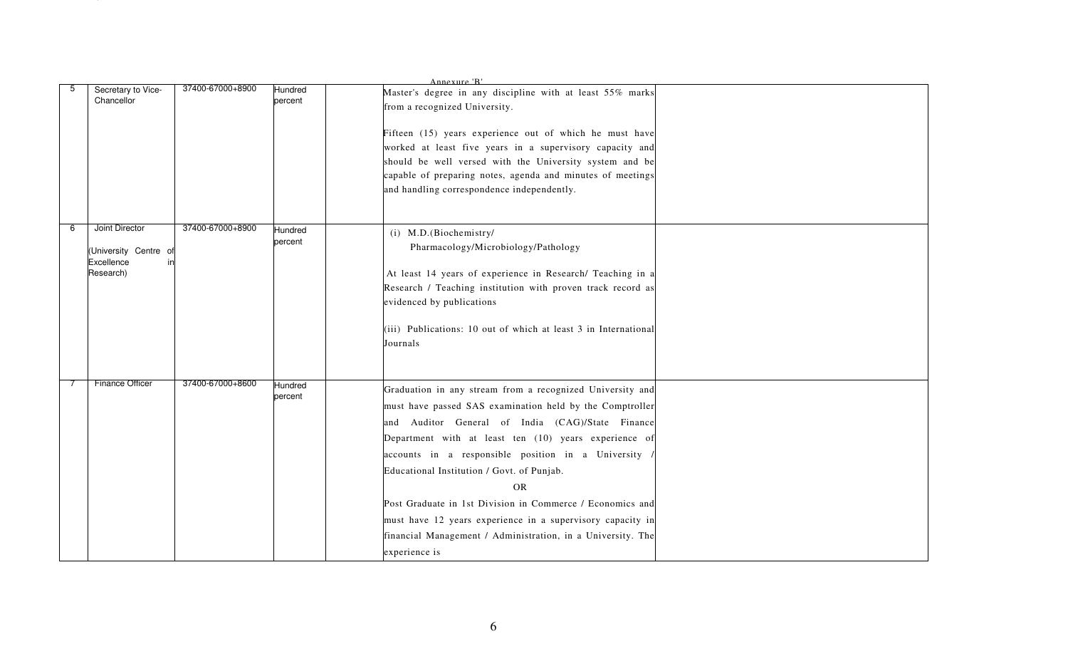| Secretary to Vice-<br>Chancellor                                      | 37400-67000+8900 | Hundred<br>percent | Annexure 'R'<br>Master's degree in any discipline with at least 55% marks<br>from a recognized University.                                                                                                                                                                                                                                                                                                                                                                                                                                                     |  |
|-----------------------------------------------------------------------|------------------|--------------------|----------------------------------------------------------------------------------------------------------------------------------------------------------------------------------------------------------------------------------------------------------------------------------------------------------------------------------------------------------------------------------------------------------------------------------------------------------------------------------------------------------------------------------------------------------------|--|
|                                                                       |                  |                    | Fifteen (15) years experience out of which he must have<br>worked at least five years in a supervisory capacity and<br>should be well versed with the University system and be<br>capable of preparing notes, agenda and minutes of meetings<br>and handling correspondence independently.                                                                                                                                                                                                                                                                     |  |
| Joint Director<br>(University Centre<br>O.<br>Excellence<br>Research) | 37400-67000+8900 | Hundred<br>percent | (i) M.D.(Biochemistry/<br>Pharmacology/Microbiology/Pathology<br>At least 14 years of experience in Research/ Teaching in a<br>Research / Teaching institution with proven track record as<br>evidenced by publications<br>(iii) Publications: 10 out of which at least 3 in International<br>Journals                                                                                                                                                                                                                                                         |  |
| Finance Officer                                                       | 37400-67000+8600 | Hundred<br>percent | Graduation in any stream from a recognized University and<br>must have passed SAS examination held by the Comptroller<br>and Auditor General of India (CAG)/State Finance<br>Department with at least ten (10) years experience of<br>accounts in a responsible position in a University<br>Educational Institution / Govt. of Punjab.<br><b>OR</b><br>Post Graduate in 1st Division in Commerce / Economics and<br>must have 12 years experience in a supervisory capacity in<br>financial Management / Administration, in a University. The<br>experience is |  |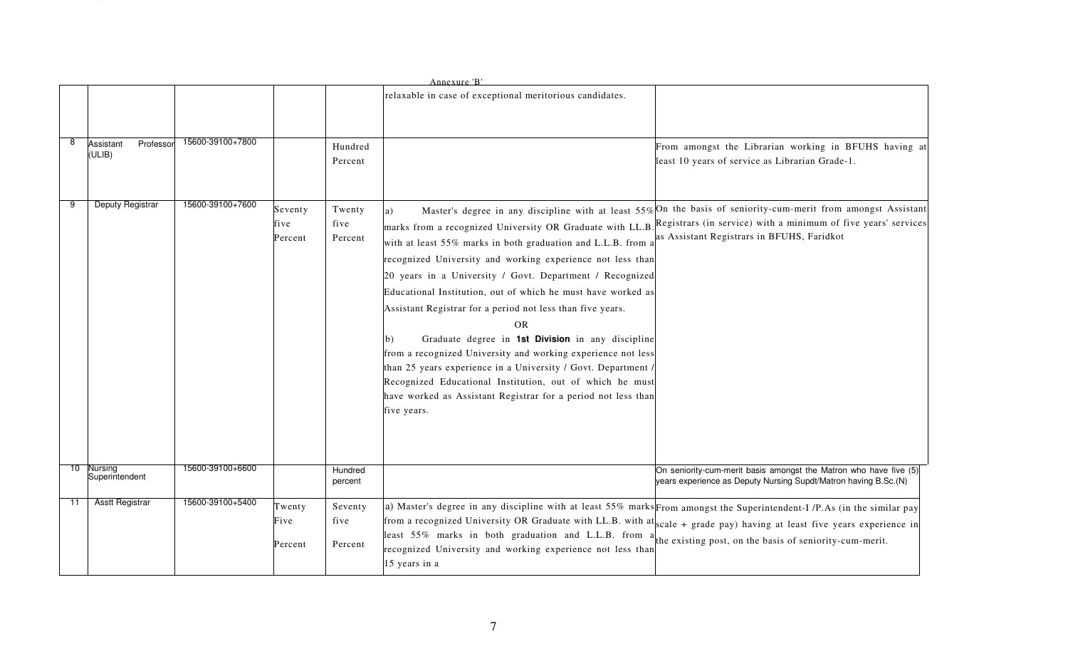| 8  | Professor<br>Assistant<br>(ULIB) | 15600-39100+7800 |                            | Hundred<br>Percent         | Annexure 'B'<br>relaxable in case of exceptional meritorious candidates.                                                                                                                                                                                                                                                                                                                                                                                                                                                                                                                                                                                                                                                                    | From amongst the Librarian working in BFUHS having at<br>least 10 years of service as Librarian Grade-1.                                                                                                                       |
|----|----------------------------------|------------------|----------------------------|----------------------------|---------------------------------------------------------------------------------------------------------------------------------------------------------------------------------------------------------------------------------------------------------------------------------------------------------------------------------------------------------------------------------------------------------------------------------------------------------------------------------------------------------------------------------------------------------------------------------------------------------------------------------------------------------------------------------------------------------------------------------------------|--------------------------------------------------------------------------------------------------------------------------------------------------------------------------------------------------------------------------------|
| 9  | Deputy Registrar                 | 15600-39100+7600 | Seventy<br>five<br>Percent | Twenty<br>five<br>Percent  | a)<br>marks from a recognized University OR Graduate with LL.B<br>with at least 55% marks in both graduation and L.L.B. from a<br>recognized University and working experience not less than<br>20 years in a University / Govt. Department / Recognized<br>Educational Institution, out of which he must have worked as<br>Assistant Registrar for a period not less than five years.<br><b>OR</b><br>Graduate degree in 1st Division in any discipline<br>b)<br>from a recognized University and working experience not less<br>than 25 years experience in a University / Govt. Department /<br>Recognized Educational Institution, out of which he must<br>have worked as Assistant Registrar for a period not less than<br>five years. | Master's degree in any discipline with at least 55% On the basis of seniority-cum-merit from amongst Assistant<br>Registrars (in service) with a minimum of five years' services<br>as Assistant Registrars in BFUHS, Faridkot |
| 10 | Nursing<br>Superintendent        | 15600-39100+6600 |                            | Hundred<br>percent         |                                                                                                                                                                                                                                                                                                                                                                                                                                                                                                                                                                                                                                                                                                                                             | On seniority-cum-merit basis amongst the Matron who have five (5)<br>years experience as Deputy Nursing Supdt/Matron having B.Sc.(N)                                                                                           |
| 11 | <b>Asstt Registrar</b>           | 15600-39100+5400 | Twenty<br>Five<br>Percent  | Seventy<br>five<br>Percent | a) Master's degree in any discipline with at least 55% marks From amongst the Superintendent-I /P.As (in the similar pay<br>from a recognized University OR Graduate with LL.B. with at scale + grade pay) having at least five years experience in<br>least 55% marks in both graduation and L.L.B. from<br>recognized University and working experience not less than<br>15 years in a                                                                                                                                                                                                                                                                                                                                                    | the existing post, on the basis of seniority-cum-merit.                                                                                                                                                                        |
|    |                                  |                  |                            |                            | $\tau$                                                                                                                                                                                                                                                                                                                                                                                                                                                                                                                                                                                                                                                                                                                                      |                                                                                                                                                                                                                                |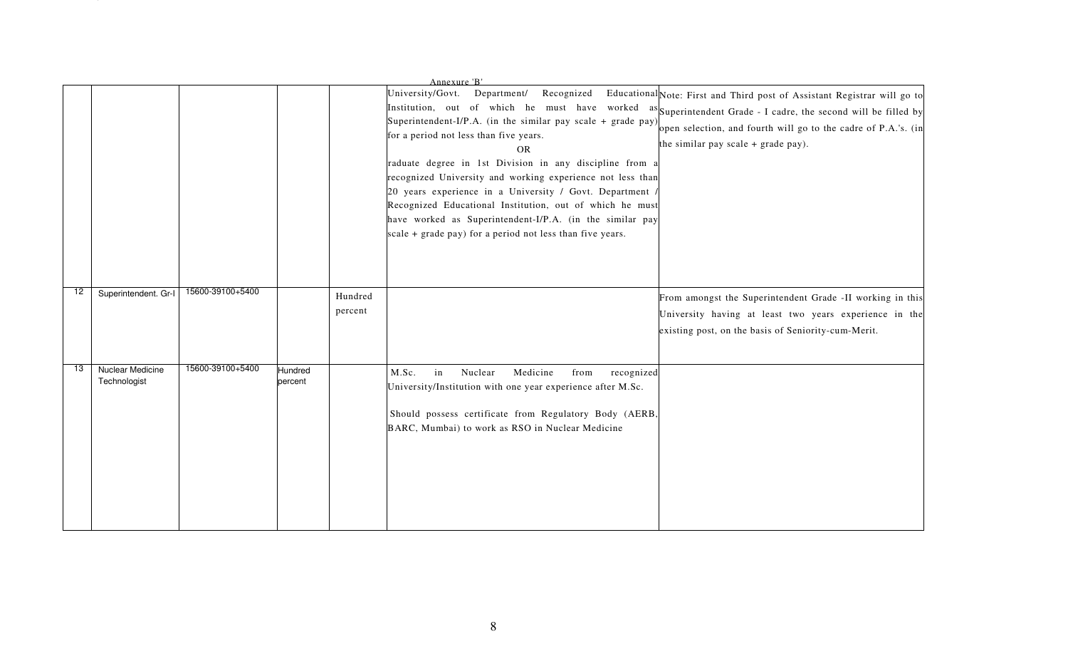|    |                                  |                  |                    |         | Annexure 'B'<br>Recognized<br>University/Govt.<br>Department/<br>Institution, out of which he must have worked as Superintendent Grade - I cadre, the second will be filled by<br>Superintendent-I/P.A. (in the similar pay scale + grade pay)<br>for a period not less than five years.<br><b>OR</b><br>raduate degree in 1st Division in any discipline from a<br>recognized University and working experience not less than<br>20 years experience in a University / Govt. Department /<br>Recognized Educational Institution, out of which he must<br>have worked as Superintendent-I/P.A. (in the similar pay<br>scale + grade pay) for a period not less than five years. | Educational Note: First and Third post of Assistant Registrar will go to<br>open selection, and fourth will go to the cadre of P.A.'s. (in<br>the similar pay scale $+$ grade pay). |
|----|----------------------------------|------------------|--------------------|---------|---------------------------------------------------------------------------------------------------------------------------------------------------------------------------------------------------------------------------------------------------------------------------------------------------------------------------------------------------------------------------------------------------------------------------------------------------------------------------------------------------------------------------------------------------------------------------------------------------------------------------------------------------------------------------------|-------------------------------------------------------------------------------------------------------------------------------------------------------------------------------------|
| 12 | Superintendent. Gr-I             | 15600-39100+5400 |                    | Hundred |                                                                                                                                                                                                                                                                                                                                                                                                                                                                                                                                                                                                                                                                                 | From amongst the Superintendent Grade -II working in this                                                                                                                           |
|    |                                  |                  |                    | percent |                                                                                                                                                                                                                                                                                                                                                                                                                                                                                                                                                                                                                                                                                 | University having at least two years experience in the<br>existing post, on the basis of Seniority-cum-Merit.                                                                       |
| 13 | Nuclear Medicine<br>Technologist | 15600-39100+5400 | Hundred<br>percent |         | Nuclear<br>Medicine<br>M.Sc.<br>in<br>from<br>recognized<br>University/Institution with one year experience after M.Sc.<br>Should possess certificate from Regulatory Body (AERB,<br>BARC, Mumbai) to work as RSO in Nuclear Medicine                                                                                                                                                                                                                                                                                                                                                                                                                                           |                                                                                                                                                                                     |
|    |                                  |                  |                    |         | 8                                                                                                                                                                                                                                                                                                                                                                                                                                                                                                                                                                                                                                                                               |                                                                                                                                                                                     |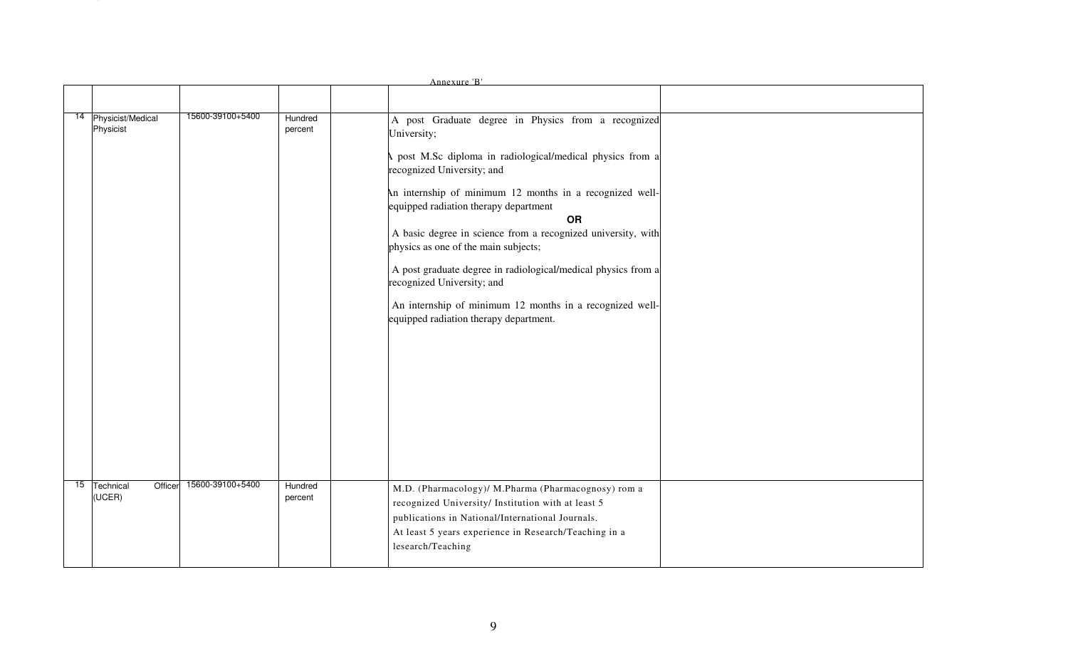|                                                          |                    | Annexure 'B'                                                                                                                                                                                                                                                                                                                                                                                                                                                                                                                                                                         |  |
|----------------------------------------------------------|--------------------|--------------------------------------------------------------------------------------------------------------------------------------------------------------------------------------------------------------------------------------------------------------------------------------------------------------------------------------------------------------------------------------------------------------------------------------------------------------------------------------------------------------------------------------------------------------------------------------|--|
| 15600-39100+5400<br>14 Physicist/Medical<br>Physicist    | Hundred<br>percent | A post Graduate degree in Physics from a recognized<br>University;<br>post M.Sc diploma in radiological/medical physics from a<br>recognized University; and<br>An internship of minimum 12 months in a recognized well-<br>equipped radiation therapy department<br>OR<br>A basic degree in science from a recognized university, with<br>physics as one of the main subjects;<br>A post graduate degree in radiological/medical physics from a<br>recognized University; and<br>An internship of minimum 12 months in a recognized well-<br>equipped radiation therapy department. |  |
| 15600-39100+5400<br>15<br>Technical<br>Officer<br>(UCER) | Hundred<br>percent | M.D. (Pharmacology)/ M.Pharma (Pharmacognosy) rom a<br>recognized University/ Institution with at least 5<br>publications in National/International Journals.<br>At least 5 years experience in Research/Teaching in a<br>lesearch/Teaching                                                                                                                                                                                                                                                                                                                                          |  |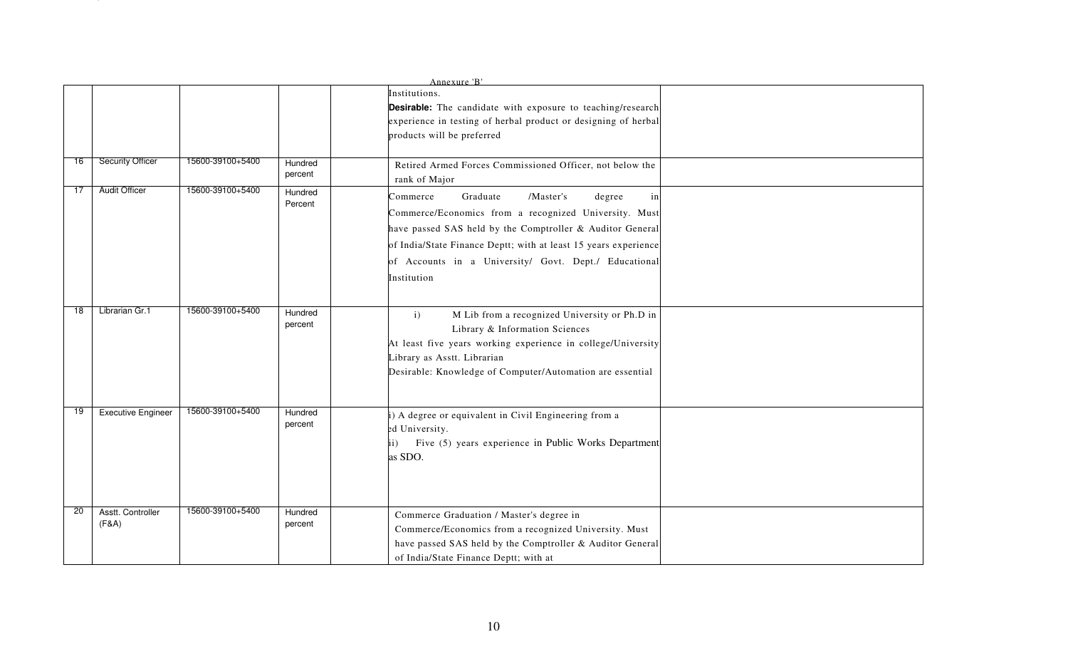|    |                            |                  |                    | Annexure 'B'                                                                                                                                                                                                                                                                                                       |  |
|----|----------------------------|------------------|--------------------|--------------------------------------------------------------------------------------------------------------------------------------------------------------------------------------------------------------------------------------------------------------------------------------------------------------------|--|
|    |                            |                  |                    | Institutions.<br>Desirable: The candidate with exposure to teaching/research<br>experience in testing of herbal product or designing of herbal<br>products will be preferred                                                                                                                                       |  |
| 16 | <b>Security Officer</b>    | 15600-39100+5400 | Hundred<br>percent | Retired Armed Forces Commissioned Officer, not below the<br>rank of Major                                                                                                                                                                                                                                          |  |
| 17 | Audit Officer              | 15600-39100+5400 | Hundred<br>Percent | Graduate<br>/Master's<br>in<br>Commerce<br>degree<br>Commerce/Economics from a recognized University. Must<br>have passed SAS held by the Comptroller & Auditor General<br>of India/State Finance Deptt; with at least 15 years experience<br>of Accounts in a University/ Govt. Dept./ Educational<br>Institution |  |
| 18 | Librarian Gr.1             | 15600-39100+5400 | Hundred<br>percent | M Lib from a recognized University or Ph.D in<br>$\mathbf{i}$<br>Library & Information Sciences<br>At least five years working experience in college/University<br>Library as Asstt. Librarian<br>Desirable: Knowledge of Computer/Automation are essential                                                        |  |
| 19 | <b>Executive Engineer</b>  | 15600-39100+5400 | Hundred<br>percent | i) A degree or equivalent in Civil Engineering from a<br>ed University.<br>Five (5) years experience in Public Works Department<br>$\mathbf{ii}$<br>as SDO.                                                                                                                                                        |  |
| 20 | Asstt. Controller<br>(F&A) | 15600-39100+5400 | Hundred<br>percent | Commerce Graduation / Master's degree in<br>Commerce/Economics from a recognized University. Must<br>have passed SAS held by the Comptroller & Auditor General<br>of India/State Finance Deptt; with at                                                                                                            |  |
|    |                            |                  |                    | 10                                                                                                                                                                                                                                                                                                                 |  |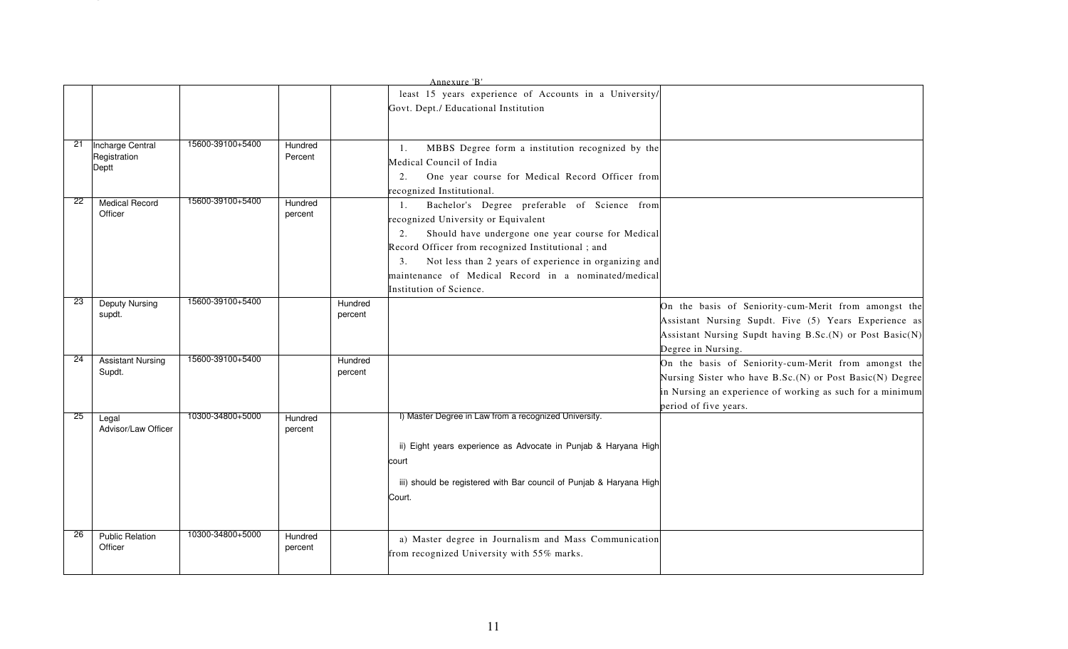|    |                          |                  |         |         | Annexure 'B'<br>least 15 years experience of Accounts in a University/ |                                                           |
|----|--------------------------|------------------|---------|---------|------------------------------------------------------------------------|-----------------------------------------------------------|
|    |                          |                  |         |         | Govt. Dept./ Educational Institution                                   |                                                           |
|    |                          |                  |         |         |                                                                        |                                                           |
|    |                          |                  |         |         |                                                                        |                                                           |
| 21 | Incharge Central         | 15600-39100+5400 | Hundred |         | MBBS Degree form a institution recognized by the<br>1.                 |                                                           |
|    | Registration             |                  | Percent |         | Medical Council of India                                               |                                                           |
|    | Deptt                    |                  |         |         | One year course for Medical Record Officer from<br>2.                  |                                                           |
|    |                          |                  |         |         | recognized Institutional.                                              |                                                           |
| 22 | <b>Medical Record</b>    | 15600-39100+5400 | Hundred |         | Bachelor's Degree preferable of Science from<br>1.                     |                                                           |
|    | Officer                  |                  | percent |         | recognized University or Equivalent                                    |                                                           |
|    |                          |                  |         |         | Should have undergone one year course for Medical<br>2.                |                                                           |
|    |                          |                  |         |         | Record Officer from recognized Institutional; and                      |                                                           |
|    |                          |                  |         |         | Not less than 2 years of experience in organizing and<br>3.            |                                                           |
|    |                          |                  |         |         | maintenance of Medical Record in a nominated/medical                   |                                                           |
|    |                          |                  |         |         | Institution of Science.                                                |                                                           |
| 23 | <b>Deputy Nursing</b>    | 15600-39100+5400 |         | Hundred |                                                                        | On the basis of Seniority-cum-Merit from amongst the      |
|    | supdt.                   |                  |         | percent |                                                                        | Assistant Nursing Supdt. Five (5) Years Experience as     |
|    |                          |                  |         |         |                                                                        | Assistant Nursing Supdt having B.Sc.(N) or Post Basic(N)  |
|    |                          |                  |         |         |                                                                        | Degree in Nursing.                                        |
| 24 | <b>Assistant Nursing</b> | 15600-39100+5400 |         | Hundred |                                                                        | On the basis of Seniority-cum-Merit from amongst the      |
|    | Supdt.                   |                  |         | percent |                                                                        | Nursing Sister who have B.Sc.(N) or Post Basic(N) Degree  |
|    |                          |                  |         |         |                                                                        | in Nursing an experience of working as such for a minimum |
|    |                          |                  |         |         |                                                                        | period of five years.                                     |
| 25 | Legal                    | 10300-34800+5000 | Hundred |         | I) Master Degree in Law from a recognized University.                  |                                                           |
|    | Advisor/Law Officer      |                  | percent |         |                                                                        |                                                           |
|    |                          |                  |         |         | ii) Eight years experience as Advocate in Punjab & Haryana High        |                                                           |
|    |                          |                  |         |         | court                                                                  |                                                           |
|    |                          |                  |         |         |                                                                        |                                                           |
|    |                          |                  |         |         | iii) should be registered with Bar council of Punjab & Haryana High    |                                                           |
|    |                          |                  |         |         | Court.                                                                 |                                                           |
|    |                          |                  |         |         |                                                                        |                                                           |
| 26 | <b>Public Relation</b>   | 10300-34800+5000 | Hundred |         |                                                                        |                                                           |
|    | Officer                  |                  | percent |         | a) Master degree in Journalism and Mass Communication                  |                                                           |
|    |                          |                  |         |         | from recognized University with 55% marks.                             |                                                           |
|    |                          |                  |         |         |                                                                        |                                                           |
|    |                          |                  |         |         |                                                                        |                                                           |
|    |                          |                  |         |         |                                                                        |                                                           |
|    |                          |                  |         |         |                                                                        |                                                           |
|    |                          |                  |         |         | 11                                                                     |                                                           |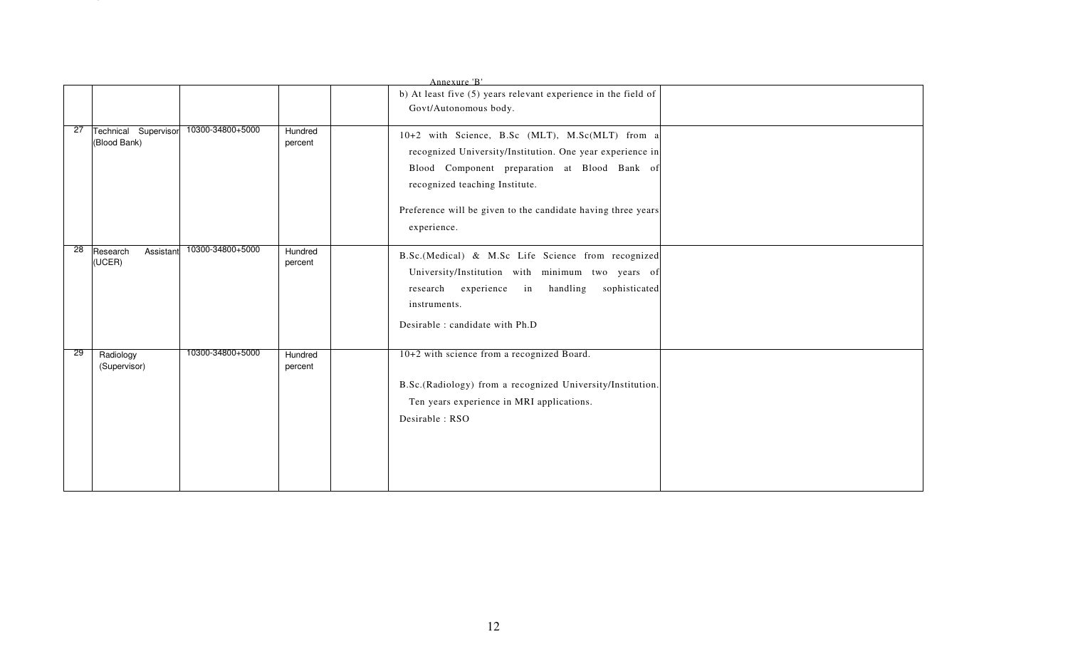|                          |                      |                  |                    | Annexure 'B'<br>b) At least five (5) years relevant experience in the field of<br>Govt/Autonomous body.                                                                                                                                                                       |  |
|--------------------------|----------------------|------------------|--------------------|-------------------------------------------------------------------------------------------------------------------------------------------------------------------------------------------------------------------------------------------------------------------------------|--|
| 27<br>(Blood Bank)       | Technical Supervisor | 10300-34800+5000 | Hundred<br>percent | 10+2 with Science, B.Sc (MLT), M.Sc(MLT) from a<br>recognized University/Institution. One year experience in<br>Blood Component preparation at Blood Bank of<br>recognized teaching Institute.<br>Preference will be given to the candidate having three years<br>experience. |  |
| 28<br>Research<br>(UCER) | Assistant            | 10300-34800+5000 | Hundred<br>percent | B.Sc.(Medical) & M.Sc Life Science from recognized<br>University/Institution with minimum two years of<br>research experience in handling sophisticated<br>instruments.<br>Desirable : candidate with Ph.D                                                                    |  |
| 29<br>Radiology          | (Supervisor)         | 10300-34800+5000 | Hundred<br>percent | 10+2 with science from a recognized Board.<br>B.Sc.(Radiology) from a recognized University/Institution.<br>Ten years experience in MRI applications.<br>Desirable: RSO                                                                                                       |  |
|                          |                      |                  |                    | 12                                                                                                                                                                                                                                                                            |  |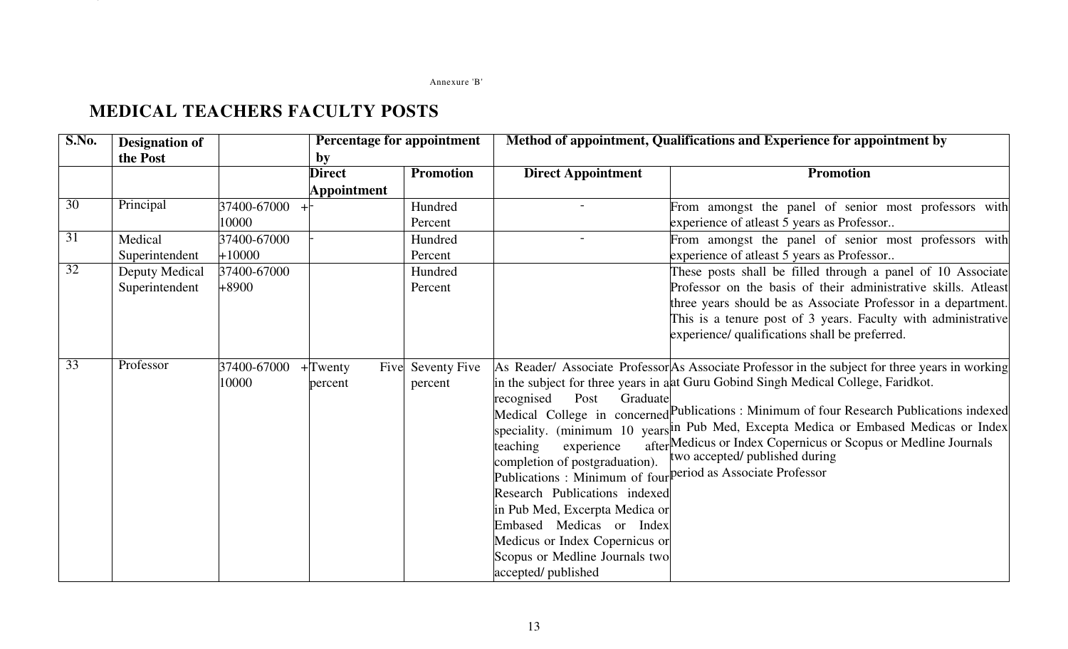### Annexure 'B'Annexure 'B

| S.No.           | <b>Designation of</b><br>the Post |                         | by                    | Percentage for appointment   |                                                                                                                                                                                                                                                                                     | Method of appointment, Qualifications and Experience for appointment by                                                                                                                                                                                                                                                                                                                                                                                                                                                                        |
|-----------------|-----------------------------------|-------------------------|-----------------------|------------------------------|-------------------------------------------------------------------------------------------------------------------------------------------------------------------------------------------------------------------------------------------------------------------------------------|------------------------------------------------------------------------------------------------------------------------------------------------------------------------------------------------------------------------------------------------------------------------------------------------------------------------------------------------------------------------------------------------------------------------------------------------------------------------------------------------------------------------------------------------|
|                 |                                   |                         | <b>Direct</b>         | <b>Promotion</b>             | <b>Direct Appointment</b>                                                                                                                                                                                                                                                           | <b>Promotion</b>                                                                                                                                                                                                                                                                                                                                                                                                                                                                                                                               |
|                 |                                   |                         | <b>Appointment</b>    |                              |                                                                                                                                                                                                                                                                                     |                                                                                                                                                                                                                                                                                                                                                                                                                                                                                                                                                |
| 30              | Principal                         | 37400-67000<br>10000    |                       | Hundred<br>Percent           |                                                                                                                                                                                                                                                                                     | From amongst the panel of senior most professors with<br>experience of atleast 5 years as Professor                                                                                                                                                                                                                                                                                                                                                                                                                                            |
| $\overline{31}$ | Medical<br>Superintendent         | 37400-67000<br>$+10000$ |                       | Hundred<br>Percent           | $\overline{a}$                                                                                                                                                                                                                                                                      | From amongst the panel of senior most professors with<br>experience of atleast 5 years as Professor                                                                                                                                                                                                                                                                                                                                                                                                                                            |
| 32              | Deputy Medical<br>Superintendent  | 37400-67000<br>$+8900$  |                       | Hundred<br>Percent           |                                                                                                                                                                                                                                                                                     | These posts shall be filled through a panel of 10 Associate<br>Professor on the basis of their administrative skills. Atleast<br>three years should be as Associate Professor in a department.<br>This is a tenure post of 3 years. Faculty with administrative<br>experience/ qualifications shall be preferred.                                                                                                                                                                                                                              |
| 33              | Professor                         | 37400-67000<br>10000    | $+$ Twenty<br>percent | Five Seventy Five<br>percent | Graduate<br>recognised<br>Post<br>teaching<br>experience<br>completion of postgraduation).<br>Research Publications indexed<br>in Pub Med, Excerpta Medica or<br>Embased Medicas or Index<br>Medicus or Index Copernicus or<br>Scopus or Medline Journals two<br>accepted/published | As Reader/ Associate Professor As Associate Professor in the subject for three years in working<br>in the subject for three years in a at Guru Gobind Singh Medical College, Faridkot.<br>Medical College in concerned Publications: Minimum of four Research Publications indexed<br>speciality. (minimum 10 years in Pub Med, Excepta Medica or Embased Medicas or Index<br>after Medicus or Index Copernicus or Scopus or Medline Journals<br>two accepted/ published during<br>Publications: Minimum of four period as Associate Professor |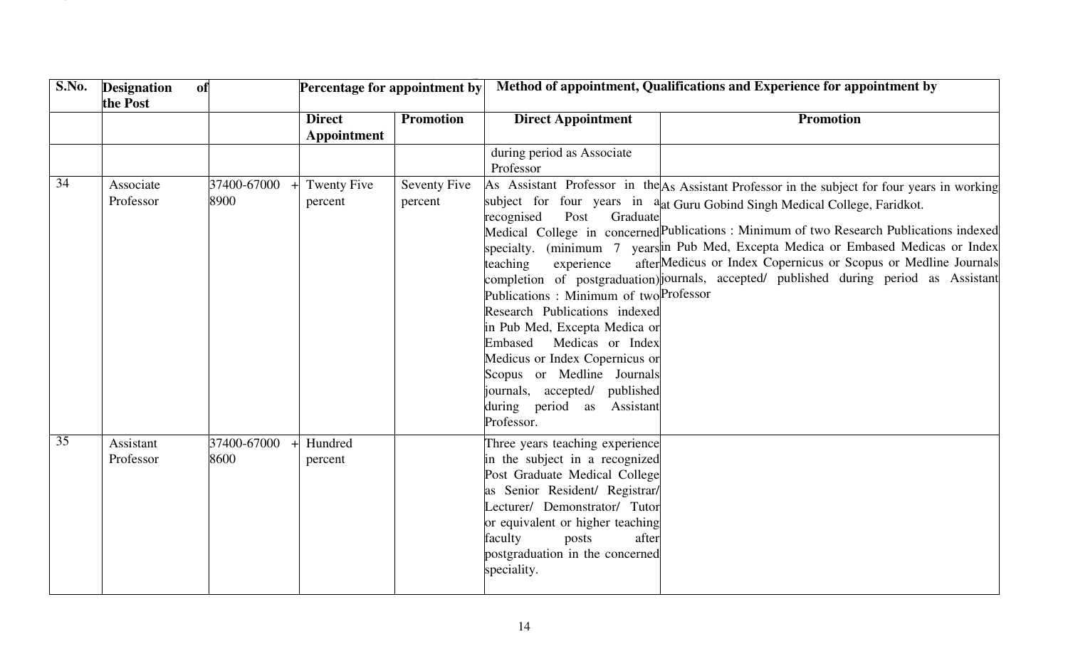| S.No. | <b>Designation</b><br>the Post | of                  | Percentage for appointment by |                                |                                                                                                                                                                                                                                                                                                                                                  | Method of appointment, Qualifications and Experience for appointment by                                                                                                                                                                                                                                                                                                                                                                                                                                                    |
|-------|--------------------------------|---------------------|-------------------------------|--------------------------------|--------------------------------------------------------------------------------------------------------------------------------------------------------------------------------------------------------------------------------------------------------------------------------------------------------------------------------------------------|----------------------------------------------------------------------------------------------------------------------------------------------------------------------------------------------------------------------------------------------------------------------------------------------------------------------------------------------------------------------------------------------------------------------------------------------------------------------------------------------------------------------------|
|       |                                |                     | <b>Direct</b><br>Appointment  | <b>Promotion</b>               | <b>Direct Appointment</b>                                                                                                                                                                                                                                                                                                                        | <b>Promotion</b>                                                                                                                                                                                                                                                                                                                                                                                                                                                                                                           |
|       |                                |                     |                               |                                | during period as Associate<br>Professor                                                                                                                                                                                                                                                                                                          |                                                                                                                                                                                                                                                                                                                                                                                                                                                                                                                            |
| 34    | Associate<br>Professor         | 37400-67000<br>8900 | <b>Twenty Five</b><br>percent | <b>Seventy Five</b><br>percent | Graduate<br>Post<br>recognised<br>teaching<br>experience<br>Publications: Minimum of two Professor<br>Research Publications indexed<br>in Pub Med, Excepta Medica or<br>Embased<br>Medicas or Index<br>Medicus or Index Copernicus or<br>Scopus or Medline Journals<br>journals, accepted/ published<br>during period as Assistant<br>Professor. | As Assistant Professor in the As Assistant Professor in the subject for four years in working<br>subject for four years in a at Guru Gobind Singh Medical College, Faridkot.<br>Medical College in concerned Publications: Minimum of two Research Publications indexed<br>specialty. (minimum 7 years in Pub Med, Excepta Medica or Embased Medicas or Index<br>after Medicus or Index Copernicus or Scopus or Medline Journals<br>completion of postgraduation) journals, accepted/ published during period as Assistant |
| 35    | Assistant<br>Professor         | 37400-67000<br>8600 | Hundred<br>percent            |                                | Three years teaching experience<br>in the subject in a recognized<br>Post Graduate Medical College<br>as Senior Resident/ Registrar/<br>Lecturer/ Demonstrator/ Tutor<br>or equivalent or higher teaching<br>faculty<br>posts<br>after<br>postgraduation in the concerned<br>speciality.                                                         |                                                                                                                                                                                                                                                                                                                                                                                                                                                                                                                            |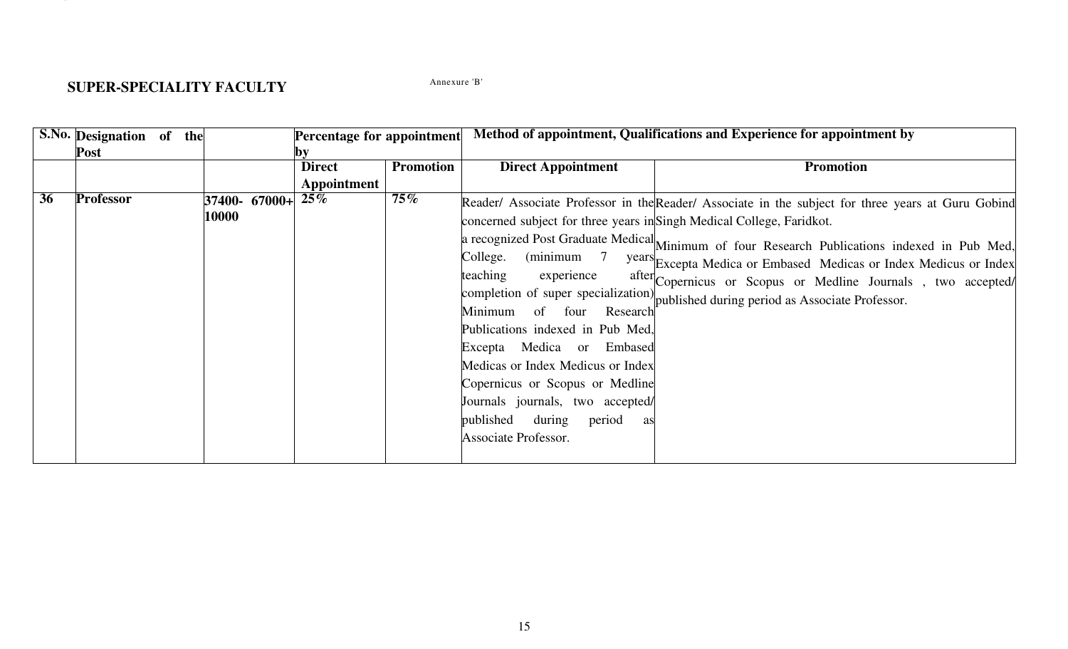# SUDED SDECIAL ITV EACHLITY<br>Annexure 'B

| <b>Direct</b><br><b>Promotion</b><br><b>Direct Appointment</b><br><b>Promotion</b><br>Appointment<br>$25\%$<br>$75\%$<br>Professor<br>36<br>37400- 67000+<br>Reader/ Associate Professor in the Reader/ Associate in the subject for three years at Guru Gobind<br>10000<br>concerned subject for three years in Singh Medical College, Faridkot.<br>a recognized Post Graduate Medical $M$ inimum of four Research Publications indexed in Pub Med,<br>$(\text{minimum} \quad 7)$<br>College.<br>years Excepta Medica or Embased Medicas or Index Medicus or Index<br>teaching<br>experience<br>after Copernicus or Scopus or Medline Journals, two accepted/<br>completion of super specialization) published during period as Associate Professor.<br>of four<br>Minimum<br>Research<br>Publications indexed in Pub Med,<br>Excepta Medica or Embased<br>Medicas or Index Medicus or Index<br>Copernicus or Scopus or Medline<br>Journals journals, two accepted/ | Method of appointment, Qualifications and Experience for appointment by |                                     | Percentage for appointment<br>by | S.No. Designation of the<br>Post |  |
|----------------------------------------------------------------------------------------------------------------------------------------------------------------------------------------------------------------------------------------------------------------------------------------------------------------------------------------------------------------------------------------------------------------------------------------------------------------------------------------------------------------------------------------------------------------------------------------------------------------------------------------------------------------------------------------------------------------------------------------------------------------------------------------------------------------------------------------------------------------------------------------------------------------------------------------------------------------------|-------------------------------------------------------------------------|-------------------------------------|----------------------------------|----------------------------------|--|
|                                                                                                                                                                                                                                                                                                                                                                                                                                                                                                                                                                                                                                                                                                                                                                                                                                                                                                                                                                      |                                                                         |                                     |                                  |                                  |  |
| Associate Professor.                                                                                                                                                                                                                                                                                                                                                                                                                                                                                                                                                                                                                                                                                                                                                                                                                                                                                                                                                 |                                                                         | published<br>during<br>period<br>as |                                  |                                  |  |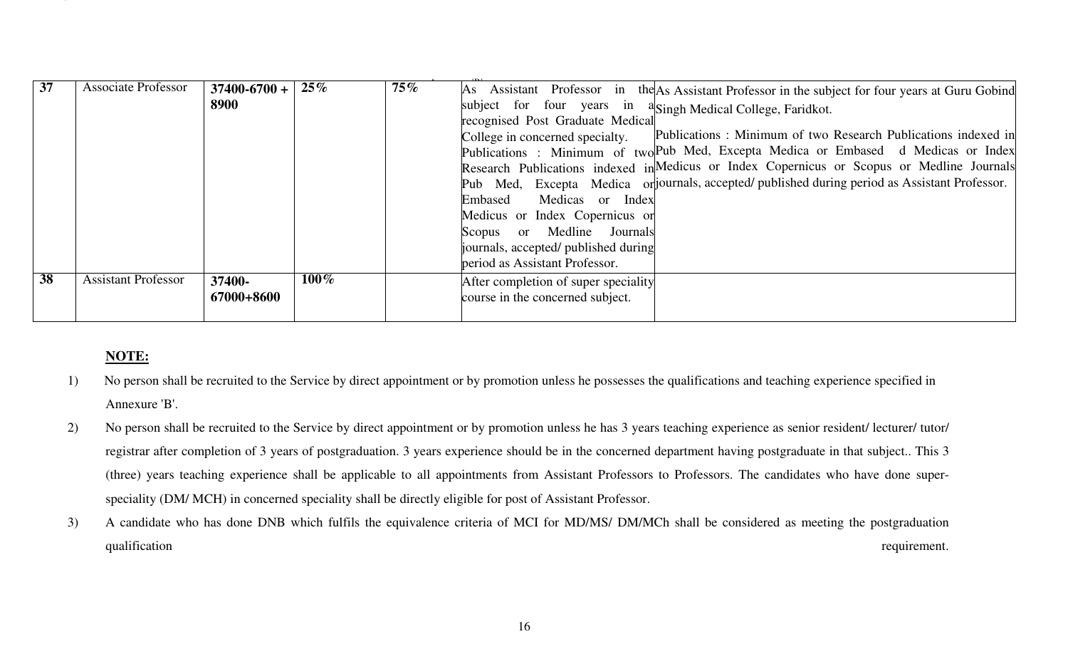| 37 | <b>Associate Professor</b>               | $37400 - 6700 +$<br>8900 | $25\%$  | $75\%$ | Assistant Professor in<br>the As Assistant Professor in the subject for four years at Guru Gobind<br>As<br>subject for four years in<br><sup>a</sup> Singh Medical College, Faridkot.<br>recognised Post Graduate Medical<br>Publications: Minimum of two Research Publications indexed in<br>College in concerned specialty.<br>Publications: Minimum of two Pub Med, Excepta Medica or Embased d Medicas or Index<br>Research Publications indexed in Medicus or Index Copernicus or Scopus or Medline Journals<br>Pub Med, Excepta Medica orijournals, accepted/published during period as Assistant Professor.<br>Medicas or Index<br>Embased<br>Medicus or Index Copernicus or<br>Medline<br>Journals<br>Scopus<br><sub>or</sub><br>journals, accepted/ published during<br>period as Assistant Professor.                                                                                                           |
|----|------------------------------------------|--------------------------|---------|--------|---------------------------------------------------------------------------------------------------------------------------------------------------------------------------------------------------------------------------------------------------------------------------------------------------------------------------------------------------------------------------------------------------------------------------------------------------------------------------------------------------------------------------------------------------------------------------------------------------------------------------------------------------------------------------------------------------------------------------------------------------------------------------------------------------------------------------------------------------------------------------------------------------------------------------|
| 38 | <b>Assistant Professor</b>               | 37400-<br>67000+8600     | $100\%$ |        | After completion of super speciality<br>course in the concerned subject.                                                                                                                                                                                                                                                                                                                                                                                                                                                                                                                                                                                                                                                                                                                                                                                                                                                  |
|    |                                          |                          |         |        |                                                                                                                                                                                                                                                                                                                                                                                                                                                                                                                                                                                                                                                                                                                                                                                                                                                                                                                           |
|    | NOTE:<br>1)<br>Annexure 'B'.<br>2)<br>3) |                          |         |        | No person shall be recruited to the Service by direct appointment or by promotion unless he possesses the qualifications and teaching experience specified in<br>No person shall be recruited to the Service by direct appointment or by promotion unless he has 3 years teaching experience as senior resident/ lecturer/ tutor/<br>registrar after completion of 3 years of postgraduation. 3 years experience should be in the concerned department having postgraduate in that subject This 3<br>(three) years teaching experience shall be applicable to all appointments from Assistant Professors to Professors. The candidates who have done super-<br>speciality (DM/ MCH) in concerned speciality shall be directly eligible for post of Assistant Professor.<br>A candidate who has done DNB which fulfils the equivalence criteria of MCI for MD/MS/ DM/MCh shall be considered as meeting the postgraduation |

- 
- 
-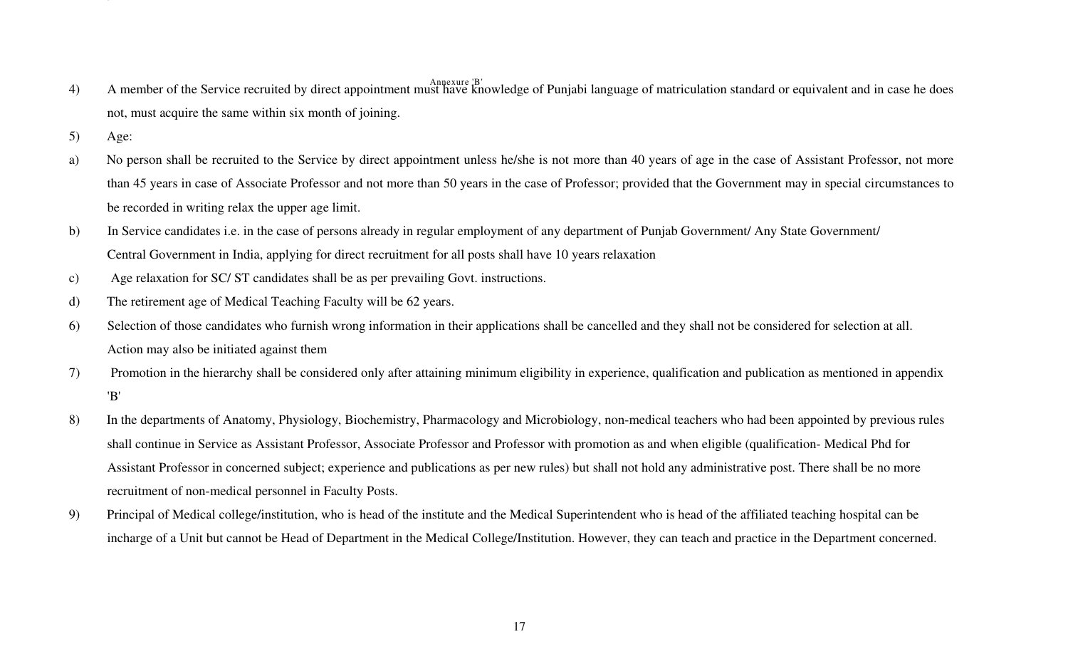- $A = \begin{bmatrix} 1 & 0 & 1 \\ 0 & -1 & 0 \\ 0 & 0 & 1 \end{bmatrix}$   $A$ npexure 'B'
- 
- 
- 
- 
- 
- 
- 
- 4) A nonoto of the Service securitorly bytom topoloment midi-line in the Media of the service of the service of the Service of the Service of the Service of the Service of the Service of the Service by direct application
-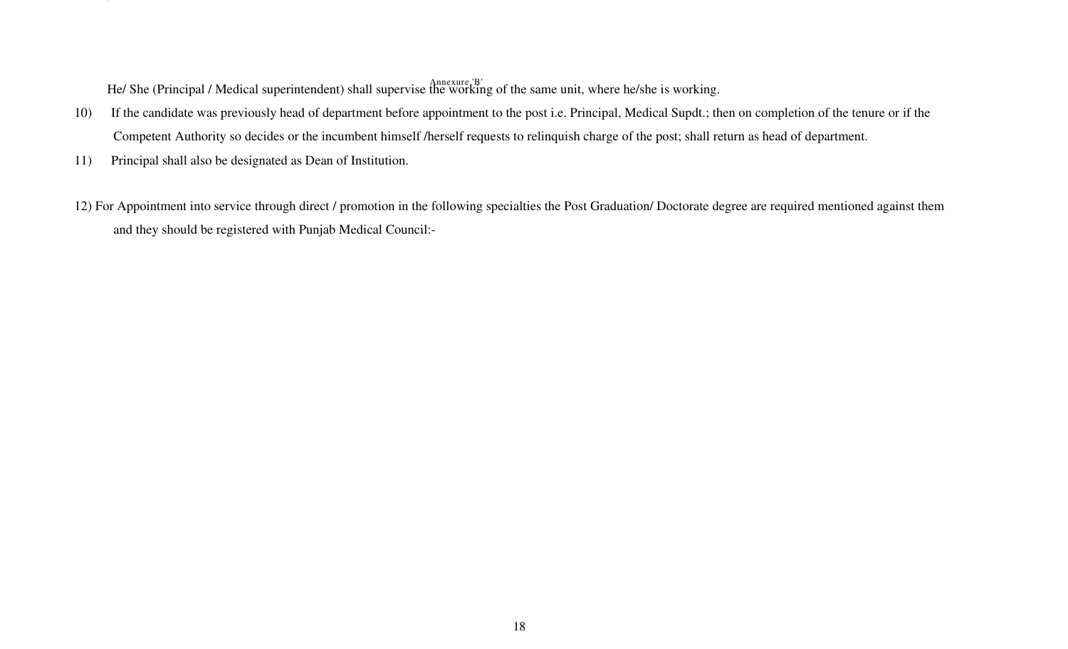$\mathbf{H}^{\text{A}}(\mathbf{C}^{\text{A}}) = \mathbf{1} \left( \mathbf{M}^{\text{A}} \mathbf{F}^{\text{B}} \right)$   $\mathbf{H}^{\text{B}}$   $\mathbf{H}^{\text{B}}$   $\mathbf{H}^{\text{B}}$ 

- 
- 
- Hot She (Principal Abdical superintendication that supervise the Verdical groof to state outlier whole hoster and the state of present reduces application to be state of the state of the state of the state of the state of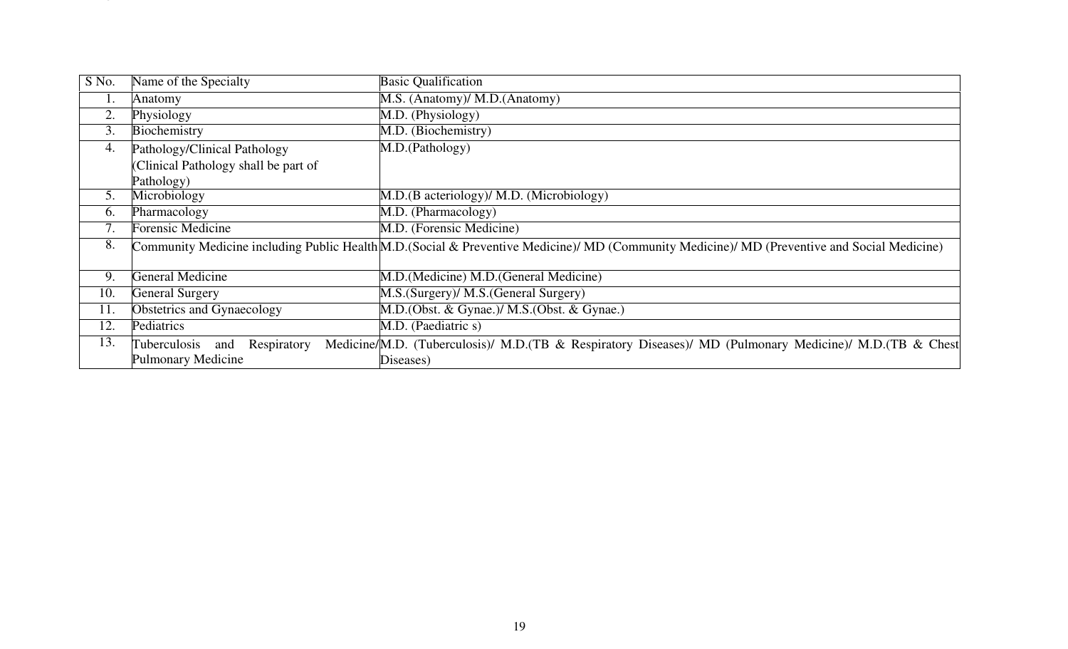| $S$ No.          | Name of the Specialty                | <b>Basic Qualification</b>                                                                                                                   |
|------------------|--------------------------------------|----------------------------------------------------------------------------------------------------------------------------------------------|
| 1.               | Anatomy                              | M.S. (Anatomy)/ M.D. (Anatomy)                                                                                                               |
| 2.               | Physiology                           | M.D. (Physiology)                                                                                                                            |
| 3.               | Biochemistry                         | M.D. (Biochemistry)                                                                                                                          |
| 4.               | Pathology/Clinical Pathology         | M.D.(Pathology)                                                                                                                              |
|                  | (Clinical Pathology shall be part of |                                                                                                                                              |
|                  | Pathology)                           |                                                                                                                                              |
| 5.               | Microbiology                         | M.D.(B acteriology)/ M.D. (Microbiology)                                                                                                     |
| 6.               | Pharmacology                         | M.D. (Pharmacology)                                                                                                                          |
| $\overline{7}$ . | <b>Forensic Medicine</b>             | M.D. (Forensic Medicine)                                                                                                                     |
| 8.               |                                      | Community Medicine including Public Health M.D. (Social & Preventive Medicine)/ MD (Community Medicine)/ MD (Preventive and Social Medicine) |
|                  |                                      |                                                                                                                                              |
| 9.               | <b>General Medicine</b>              | M.D.(Medicine) M.D.(General Medicine)                                                                                                        |
| 10.              | <b>General Surgery</b>               | M.S. (Surgery)/ M.S. (General Surgery)                                                                                                       |
| 11.              | Obstetrics and Gynaecology           | M.D. (Obst. & Gynae.)/ M.S. (Obst. & Gynae.)                                                                                                 |
| 12.              | Pediatrics                           | M.D. (Paediatric s)                                                                                                                          |
| 13.              | Tuberculosis<br>Respiratory<br>and   | Medicine/M.D. (Tuberculosis)/ M.D. (TB & Respiratory Diseases)/ MD (Pulmonary Medicine)/ M.D. (TB & Chest                                    |
|                  | <b>Pulmonary Medicine</b>            | Diseases)                                                                                                                                    |
|                  |                                      |                                                                                                                                              |
|                  |                                      |                                                                                                                                              |
|                  |                                      |                                                                                                                                              |
|                  |                                      |                                                                                                                                              |
|                  |                                      |                                                                                                                                              |
|                  |                                      |                                                                                                                                              |
|                  |                                      |                                                                                                                                              |
|                  |                                      |                                                                                                                                              |
|                  |                                      |                                                                                                                                              |
|                  |                                      |                                                                                                                                              |
|                  |                                      |                                                                                                                                              |
|                  |                                      |                                                                                                                                              |
|                  |                                      |                                                                                                                                              |
|                  |                                      |                                                                                                                                              |
|                  |                                      |                                                                                                                                              |
|                  |                                      | 19                                                                                                                                           |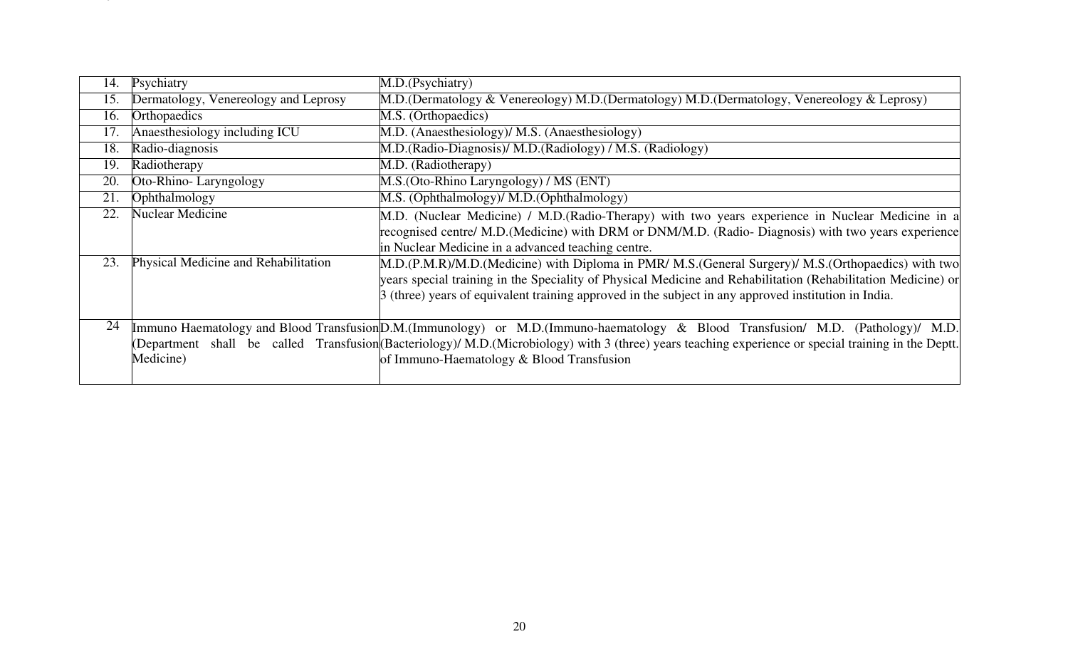| 14. | Psychiatry                           | M.D.(Psychiatry)                                                                                                                                                                                                                                                                                                                          |
|-----|--------------------------------------|-------------------------------------------------------------------------------------------------------------------------------------------------------------------------------------------------------------------------------------------------------------------------------------------------------------------------------------------|
| 15. | Dermatology, Venereology and Leprosy | M.D.(Dermatology & Venereology) M.D.(Dermatology) M.D.(Dermatology, Venereology & Leprosy)                                                                                                                                                                                                                                                |
| 16. | Orthopaedics                         | M.S. (Orthopaedics)                                                                                                                                                                                                                                                                                                                       |
| 17. | Anaesthesiology including ICU        | M.D. (Anaesthesiology)/ M.S. (Anaesthesiology)                                                                                                                                                                                                                                                                                            |
| 18. | Radio-diagnosis                      | M.D.(Radio-Diagnosis)/ M.D.(Radiology) / M.S. (Radiology)                                                                                                                                                                                                                                                                                 |
| 19. | Radiotherapy                         | M.D. (Radiotherapy)                                                                                                                                                                                                                                                                                                                       |
| 20. | Oto-Rhino-Laryngology                | M.S. (Oto-Rhino Laryngology) / MS (ENT)                                                                                                                                                                                                                                                                                                   |
| 21. | Ophthalmology                        | M.S. (Ophthalmology)/ M.D. (Ophthalmology)                                                                                                                                                                                                                                                                                                |
| 22. | <b>Nuclear Medicine</b>              | M.D. (Nuclear Medicine) / M.D. (Radio-Therapy) with two years experience in Nuclear Medicine in a<br>recognised centre/ M.D.(Medicine) with DRM or DNM/M.D. (Radio- Diagnosis) with two years experience<br>in Nuclear Medicine in a advanced teaching centre.                                                                            |
| 23. | Physical Medicine and Rehabilitation | M.D.(P.M.R)/M.D.(Medicine) with Diploma in PMR/ M.S.(General Surgery)/ M.S.(Orthopaedics) with two<br>years special training in the Speciality of Physical Medicine and Rehabilitation (Rehabilitation Medicine) or<br>$\beta$ (three) years of equivalent training approved in the subject in any approved institution in India.         |
| 24  | Medicine)                            | Immuno Haematology and Blood Transfusion D.M. (Immunology) or M.D. (Immuno-haematology & Blood Transfusion/ M.D. (Pathology)/ M.D.<br>(Department shall be called Transfusion (Bacteriology)/ M.D. (Microbiology) with 3 (three) years teaching experience or special training in the Deptt.<br>of Immuno-Haematology & Blood Transfusion |
|     |                                      |                                                                                                                                                                                                                                                                                                                                           |
|     |                                      |                                                                                                                                                                                                                                                                                                                                           |
|     |                                      | 20                                                                                                                                                                                                                                                                                                                                        |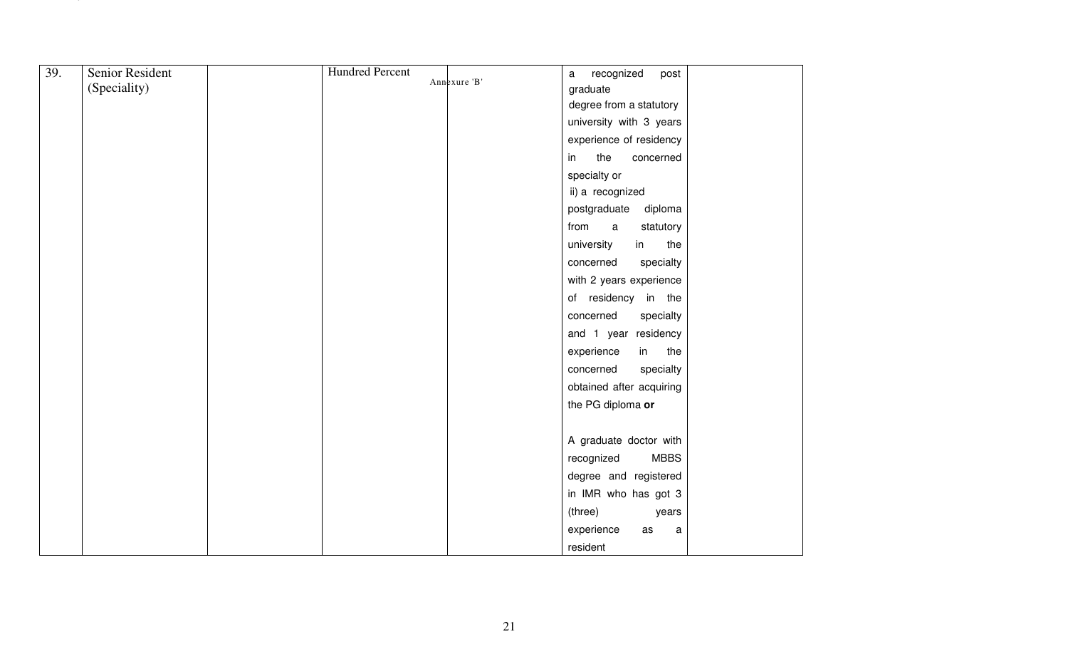|     | Senior Resident | <b>Hundred Percent</b> |              | recognized<br>$\mathsf a$<br>post |
|-----|-----------------|------------------------|--------------|-----------------------------------|
| 39. | (Speciality)    |                        | Annexure 'B' | graduate                          |
|     |                 |                        |              | degree from a statutory           |
|     |                 |                        |              | university with 3 years           |
|     |                 |                        |              | experience of residency           |
|     |                 |                        |              | the<br>in<br>concerned            |
|     |                 |                        |              | specialty or                      |
|     |                 |                        |              | ii) a recognized                  |
|     |                 |                        |              | postgraduate<br>diploma           |
|     |                 |                        |              | from<br>$\mathsf{a}$<br>statutory |
|     |                 |                        |              | university<br>the<br>in           |
|     |                 |                        |              | concerned<br>specialty            |
|     |                 |                        |              | with 2 years experience           |
|     |                 |                        |              | of residency in the               |
|     |                 |                        |              | concerned<br>specialty            |
|     |                 |                        |              | and 1 year residency              |
|     |                 |                        |              | in the<br>experience              |
|     |                 |                        |              | specialty<br>concerned            |
|     |                 |                        |              | obtained after acquiring          |
|     |                 |                        |              | the PG diploma or                 |
|     |                 |                        |              |                                   |
|     |                 |                        |              | A graduate doctor with            |
|     |                 |                        |              | <b>MBBS</b><br>recognized         |
|     |                 |                        |              | degree and registered             |
|     |                 |                        |              | in IMR who has got 3              |
|     |                 |                        |              | (three)<br>years                  |
|     |                 |                        |              | experience<br>as<br>$\mathsf a$   |
|     |                 |                        |              | resident                          |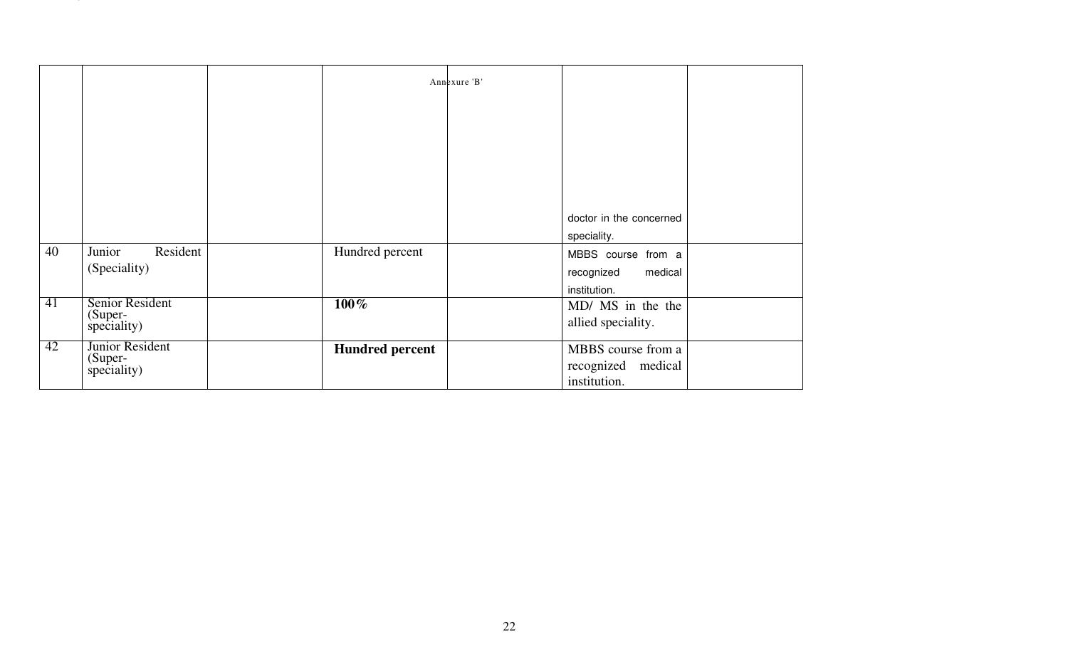|    |                                           |                        | Annexure 'B' |        |                                                             |  |
|----|-------------------------------------------|------------------------|--------------|--------|-------------------------------------------------------------|--|
|    |                                           |                        |              |        |                                                             |  |
|    |                                           |                        |              |        |                                                             |  |
|    |                                           |                        |              |        |                                                             |  |
|    |                                           |                        |              |        | doctor in the concerned<br>speciality.                      |  |
| 40 | Junior<br>Resident<br>(Speciality)        | Hundred percent        |              |        | MBBS course from a<br>recognized<br>medical<br>institution. |  |
| 41 | Senior Resident<br>(Super-<br>speciality) | $100\%$                |              |        | MD/ MS in the the<br>allied speciality.                     |  |
| 42 | Junior Resident<br>(Super-<br>speciality) | <b>Hundred percent</b> |              |        | MBBS course from a<br>recognized medical<br>institution.    |  |
|    |                                           |                        |              |        |                                                             |  |
|    |                                           |                        |              |        |                                                             |  |
|    |                                           |                        |              |        |                                                             |  |
|    |                                           |                        |              |        |                                                             |  |
|    |                                           |                        |              |        |                                                             |  |
|    |                                           |                        |              |        |                                                             |  |
|    |                                           |                        |              | $22\,$ |                                                             |  |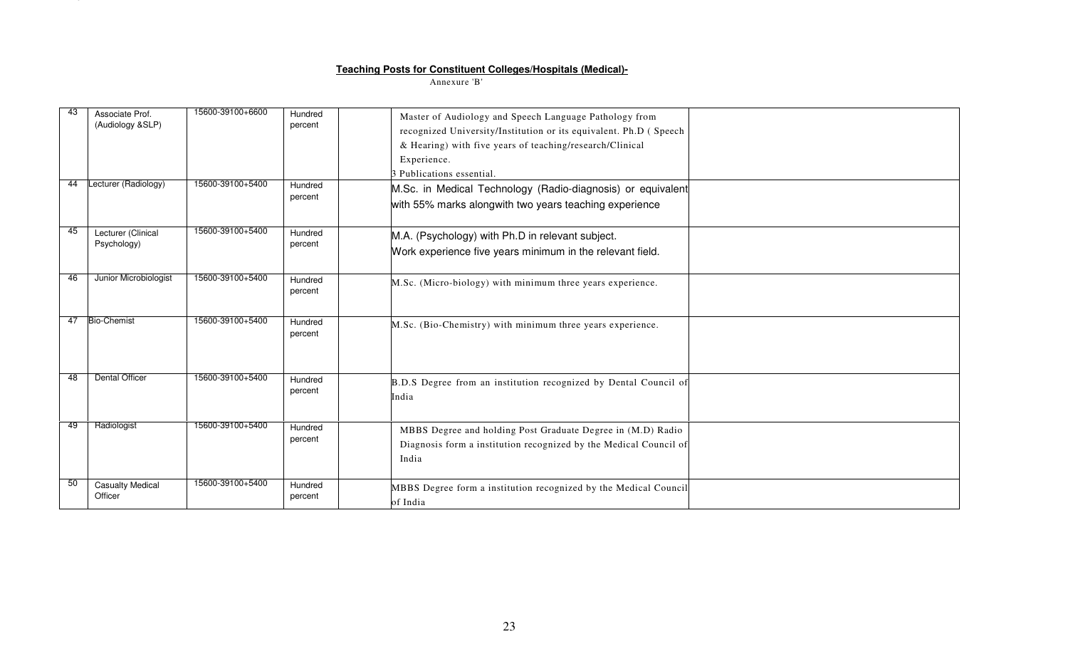### Teaching Posts for Constituen<br>Annexure 'B

|    |                                     |                  |                    | <u><b>Teaching Posts for Constituent Colleges/Hospitals (Medical)-</b></u>                                                                                                                                                           |  |
|----|-------------------------------------|------------------|--------------------|--------------------------------------------------------------------------------------------------------------------------------------------------------------------------------------------------------------------------------------|--|
|    |                                     |                  |                    | Annexure 'B'                                                                                                                                                                                                                         |  |
|    |                                     |                  |                    |                                                                                                                                                                                                                                      |  |
|    | Associate Prof.<br>(Audiology &SLP) | 15600-39100+6600 | Hundred<br>percent | Master of Audiology and Speech Language Pathology from<br>recognized University/Institution or its equivalent. Ph.D ( Speech<br>& Hearing) with five years of teaching/research/Clinical<br>Experience.<br>3 Publications essential. |  |
| 44 | Lecturer (Radiology)                | 15600-39100+5400 | Hundred<br>percent | M.Sc. in Medical Technology (Radio-diagnosis) or equivalent<br>with 55% marks alongwith two years teaching experience                                                                                                                |  |
| 45 | Lecturer (Clinical<br>Psychology)   | 15600-39100+5400 | Hundred<br>percent | M.A. (Psychology) with Ph.D in relevant subject.<br>Work experience five years minimum in the relevant field.                                                                                                                        |  |
| 46 | Junior Microbiologist               | 15600-39100+5400 | Hundred<br>percent | M.Sc. (Micro-biology) with minimum three years experience.                                                                                                                                                                           |  |
| 47 | <b>Bio-Chemist</b>                  | 15600-39100+5400 | Hundred<br>percent | M.Sc. (Bio-Chemistry) with minimum three years experience.                                                                                                                                                                           |  |
| 48 | <b>Dental Officer</b>               | 15600-39100+5400 | Hundred<br>percent | B.D.S Degree from an institution recognized by Dental Council of<br>India                                                                                                                                                            |  |
| 49 | Radiologist                         | 15600-39100+5400 | Hundred<br>percent | MBBS Degree and holding Post Graduate Degree in (M.D) Radio<br>Diagnosis form a institution recognized by the Medical Council of<br>India                                                                                            |  |
| 50 | <b>Casualty Medical</b><br>Officer  | 15600-39100+5400 | Hundred<br>percent | MBBS Degree form a institution recognized by the Medical Council<br>of India                                                                                                                                                         |  |
|    |                                     |                  |                    | 23                                                                                                                                                                                                                                   |  |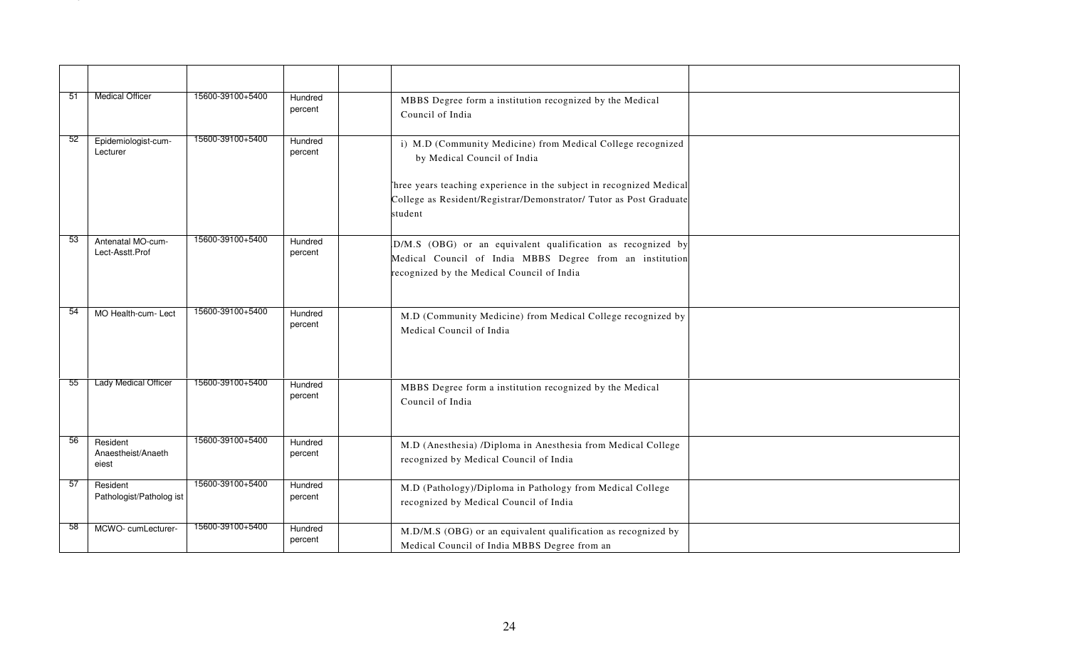| 51  | <b>Medical Officer</b>                  | 15600-39100+5400 | Hundred<br>percent | MBBS Degree form a institution recognized by the Medical<br>Council of India                                                                                          |
|-----|-----------------------------------------|------------------|--------------------|-----------------------------------------------------------------------------------------------------------------------------------------------------------------------|
| -52 | Epidemiologist-cum-<br>Lecturer         | 15600-39100+5400 | Hundred<br>percent | i) M.D (Community Medicine) from Medical College recognized<br>by Medical Council of India                                                                            |
|     |                                         |                  |                    | Three years teaching experience in the subject in recognized Medical<br>College as Resident/Registrar/Demonstrator/ Tutor as Post Graduate<br>student                 |
| -53 | Antenatal MO-cum-<br>Lect-Asstt.Prof    | 15600-39100+5400 | Hundred<br>percent | D/M.S (OBG) or an equivalent qualification as recognized by<br>Medical Council of India MBBS Degree from an institution<br>recognized by the Medical Council of India |
| 54  | MO Health-cum- Lect                     | 15600-39100+5400 | Hundred<br>percent | M.D (Community Medicine) from Medical College recognized by<br>Medical Council of India                                                                               |
| 55  | <b>Lady Medical Officer</b>             | 15600-39100+5400 | Hundred<br>percent | MBBS Degree form a institution recognized by the Medical<br>Council of India                                                                                          |
| 56  | Resident<br>Anaestheist/Anaeth<br>eiest | 15600-39100+5400 | Hundred<br>percent | M.D (Anesthesia) /Diploma in Anesthesia from Medical College<br>recognized by Medical Council of India                                                                |
| 57  | Resident<br>Pathologist/Patholog ist    | 15600-39100+5400 | Hundred<br>percent | M.D (Pathology)/Diploma in Pathology from Medical College<br>recognized by Medical Council of India                                                                   |
| 58  | MCWO-cumLecturer-                       | 15600-39100+5400 | Hundred<br>percent | M.D/M.S (OBG) or an equivalent qualification as recognized by<br>Medical Council of India MBBS Degree from an                                                         |
|     |                                         |                  |                    |                                                                                                                                                                       |
|     |                                         |                  |                    | 24                                                                                                                                                                    |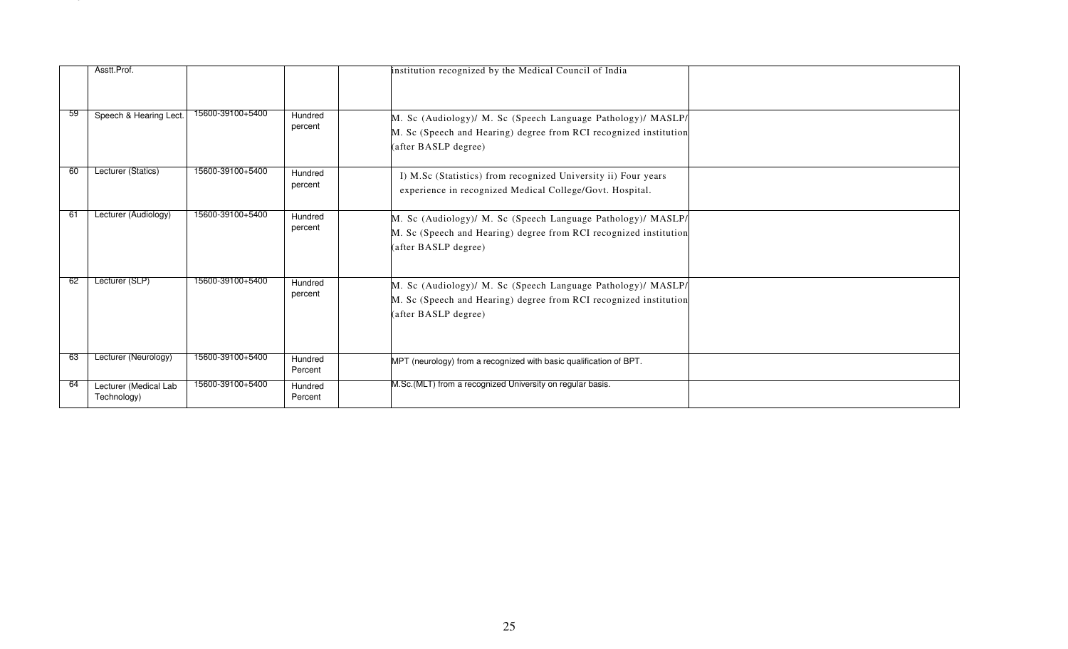|     | Asstt.Prof.                          |                  |                    | institution recognized by the Medical Council of India                                                                                                    |  |
|-----|--------------------------------------|------------------|--------------------|-----------------------------------------------------------------------------------------------------------------------------------------------------------|--|
| -59 | Speech & Hearing Lect.               | 15600-39100+5400 | Hundred<br>percent | M. Sc (Audiology)/ M. Sc (Speech Language Pathology)/ MASLP/<br>M. Sc (Speech and Hearing) degree from RCI recognized institution<br>(after BASLP degree) |  |
| 60  | Lecturer (Statics)                   | 15600-39100+5400 | Hundred<br>percent | I) M.Sc (Statistics) from recognized University ii) Four years<br>experience in recognized Medical College/Govt. Hospital.                                |  |
| 61  | Lecturer (Audiology)                 | 15600-39100+5400 | Hundred<br>percent | M. Sc (Audiology)/ M. Sc (Speech Language Pathology)/ MASLP/<br>M. Sc (Speech and Hearing) degree from RCI recognized institution<br>(after BASLP degree) |  |
| 62  | Lecturer (SLP)                       | 15600-39100+5400 | Hundred<br>percent | M. Sc (Audiology)/ M. Sc (Speech Language Pathology)/ MASLP/<br>M. Sc (Speech and Hearing) degree from RCI recognized institution<br>(after BASLP degree) |  |
| 63  | Lecturer (Neurology)                 | 15600-39100+5400 | Hundred<br>Percent | MPT (neurology) from a recognized with basic qualification of BPT.                                                                                        |  |
| -64 | Lecturer (Medical Lab<br>Technology) | 15600-39100+5400 | Hundred<br>Percent | M.Sc.(MLT) from a recognized University on regular basis.                                                                                                 |  |
|     |                                      |                  |                    |                                                                                                                                                           |  |
|     |                                      |                  |                    |                                                                                                                                                           |  |
|     |                                      |                  |                    | 25                                                                                                                                                        |  |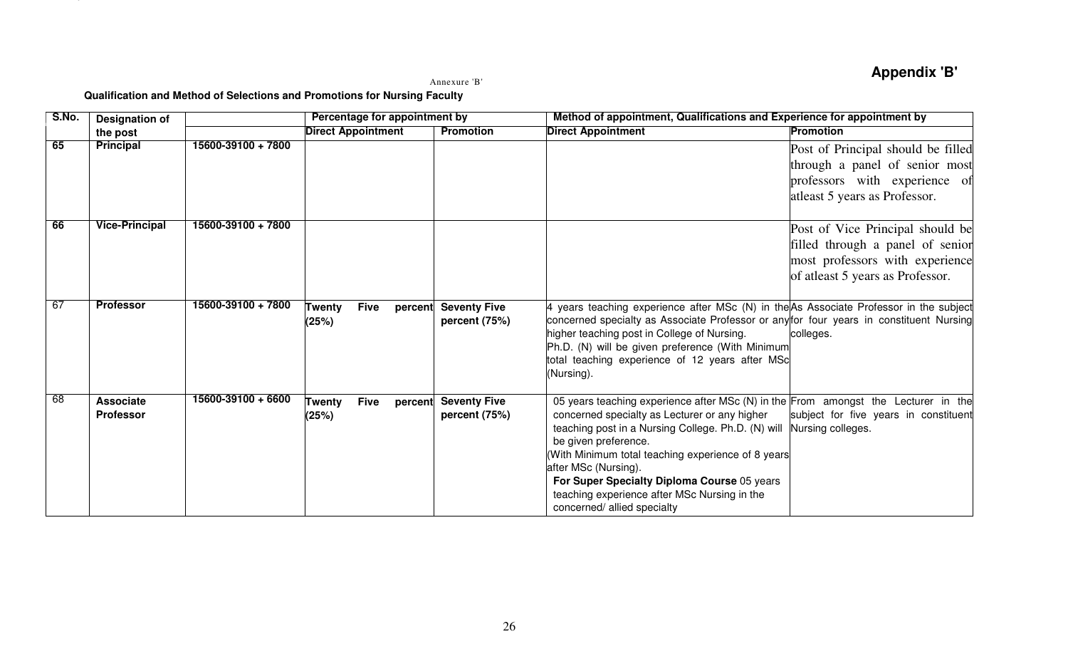Annexure 'B'Annexure 'B

|       |                                      |                                                                           |                                |         | Annexure 'B'                          |                                                                                                                                                                                                                                                                                                                                                                                                                                                 | <b>Appendix 'B'</b>                                                                                                                         |
|-------|--------------------------------------|---------------------------------------------------------------------------|--------------------------------|---------|---------------------------------------|-------------------------------------------------------------------------------------------------------------------------------------------------------------------------------------------------------------------------------------------------------------------------------------------------------------------------------------------------------------------------------------------------------------------------------------------------|---------------------------------------------------------------------------------------------------------------------------------------------|
| S.No. |                                      | Qualification and Method of Selections and Promotions for Nursing Faculty | Percentage for appointment by  |         |                                       | Method of appointment, Qualifications and Experience for appointment by                                                                                                                                                                                                                                                                                                                                                                         |                                                                                                                                             |
|       | <b>Designation of</b><br>the post    |                                                                           | <b>Direct Appointment</b>      |         | <b>Promotion</b>                      | <b>Direct Appointment</b>                                                                                                                                                                                                                                                                                                                                                                                                                       | <b>Promotion</b>                                                                                                                            |
| 65    | <b>Principal</b>                     | 15600-39100 + 7800                                                        |                                |         |                                       |                                                                                                                                                                                                                                                                                                                                                                                                                                                 | Post of Principal should be filled<br>through a panel of senior most<br>professors with experience of<br>atleast 5 years as Professor.      |
| 66    | <b>Vice-Principal</b>                | 15600-39100 + 7800                                                        |                                |         |                                       |                                                                                                                                                                                                                                                                                                                                                                                                                                                 | Post of Vice Principal should be<br>filled through a panel of senior<br>most professors with experience<br>of atleast 5 years as Professor. |
| 67    | <b>Professor</b>                     | 15600-39100 + 7800                                                        | <b>Five</b><br>Twenty<br>(25%) |         | percent Seventy Five<br>percent (75%) | 4 years teaching experience after MSc (N) in the As Associate Professor in the subject<br>concerned specialty as Associate Professor or any for four years in constituent Nursing<br>higher teaching post in College of Nursing.<br>Ph.D. (N) will be given preference (With Minimum<br>total teaching experience of 12 years after MSc<br>(Nursing).                                                                                           | colleges.                                                                                                                                   |
| 68    | <b>Associate</b><br><b>Professor</b> | 15600-39100 + 6600                                                        | <b>Five</b><br>Twenty<br>(25%) | percent | <b>Seventy Five</b><br>percent (75%)  | 05 years teaching experience after MSc (N) in the From amongst the Lecturer in the<br>concerned specialty as Lecturer or any higher<br>teaching post in a Nursing College. Ph.D. (N) will Nursing colleges.<br>be given preference.<br>(With Minimum total teaching experience of 8 years<br>after MSc (Nursing).<br>For Super Specialty Diploma Course 05 years<br>teaching experience after MSc Nursing in the<br>concerned/ allied specialty | subject for five years in constituent                                                                                                       |
|       |                                      |                                                                           |                                |         | 26                                    |                                                                                                                                                                                                                                                                                                                                                                                                                                                 |                                                                                                                                             |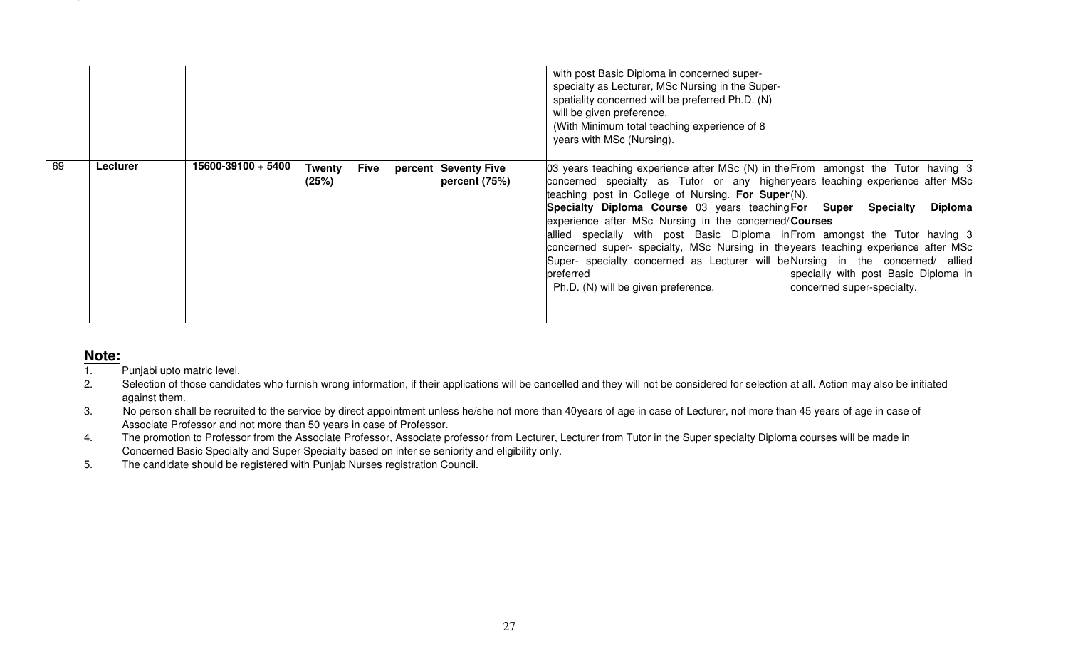|    |                            |                                                                                                 |                                |                                       | with post Basic Diploma in concerned super-<br>specialty as Lecturer, MSc Nursing in the Super-<br>spatiality concerned will be preferred Ph.D. (N)<br>will be given preference.<br>(With Minimum total teaching experience of 8<br>years with MSc (Nursing).                                                                                                                                                                                                                                                                                                                                                                                          |                                                                                                          |
|----|----------------------------|-------------------------------------------------------------------------------------------------|--------------------------------|---------------------------------------|--------------------------------------------------------------------------------------------------------------------------------------------------------------------------------------------------------------------------------------------------------------------------------------------------------------------------------------------------------------------------------------------------------------------------------------------------------------------------------------------------------------------------------------------------------------------------------------------------------------------------------------------------------|----------------------------------------------------------------------------------------------------------|
|    | Lecturer                   | 15600-39100 + 5400                                                                              | <b>Five</b><br>Twenty<br>(25%) | percent Seventy Five<br>percent (75%) | 03 years teaching experience after MSc (N) in the From amongst the Tutor having 3<br>concerned specialty as Tutor or any higher years teaching experience after MSc<br>teaching post in College of Nursing. For Super(N).<br>Specialty Diploma Course 03 years teaching For Super<br>experience after MSc Nursing in the concerned/Courses<br>allied specially with post Basic Diploma in From amongst the Tutor having 3<br>concerned super- specialty, MSc Nursing in the years teaching experience after MSc<br>Super- specialty concerned as Lecturer will be Nursing in the concerned/ allied<br>preferred<br>Ph.D. (N) will be given preference. | <b>Specialty</b><br><b>Diploma</b><br>specially with post Basic Diploma in<br>concerned super-specialty. |
|    |                            |                                                                                                 |                                |                                       |                                                                                                                                                                                                                                                                                                                                                                                                                                                                                                                                                                                                                                                        |                                                                                                          |
|    |                            |                                                                                                 |                                |                                       |                                                                                                                                                                                                                                                                                                                                                                                                                                                                                                                                                                                                                                                        |                                                                                                          |
|    | <u>Note:</u>               |                                                                                                 |                                |                                       |                                                                                                                                                                                                                                                                                                                                                                                                                                                                                                                                                                                                                                                        |                                                                                                          |
| 2. | Punjabi upto matric level. |                                                                                                 |                                |                                       | Selection of those candidates who furnish wrong information, if their applications will be cancelled and they will not be considered for selection at all. Action may also be initiated                                                                                                                                                                                                                                                                                                                                                                                                                                                                |                                                                                                          |
|    | against them.              |                                                                                                 |                                |                                       |                                                                                                                                                                                                                                                                                                                                                                                                                                                                                                                                                                                                                                                        |                                                                                                          |
| 3. |                            | Associate Professor and not more than 50 years in case of Professor.                            |                                |                                       | No person shall be recruited to the service by direct appointment unless he/she not more than 40years of age in case of Lecturer, not more than 45 years of age in case of                                                                                                                                                                                                                                                                                                                                                                                                                                                                             |                                                                                                          |
| 4. |                            |                                                                                                 |                                |                                       | The promotion to Professor from the Associate Professor, Associate professor from Lecturer, Lecturer from Tutor in the Super specialty Diploma courses will be made in                                                                                                                                                                                                                                                                                                                                                                                                                                                                                 |                                                                                                          |
| 5. |                            | Concerned Basic Specialty and Super Specialty based on inter se seniority and eligibility only. |                                |                                       |                                                                                                                                                                                                                                                                                                                                                                                                                                                                                                                                                                                                                                                        |                                                                                                          |
|    |                            | The candidate should be registered with Punjab Nurses registration Council.                     |                                |                                       |                                                                                                                                                                                                                                                                                                                                                                                                                                                                                                                                                                                                                                                        |                                                                                                          |
|    |                            |                                                                                                 |                                |                                       |                                                                                                                                                                                                                                                                                                                                                                                                                                                                                                                                                                                                                                                        |                                                                                                          |
|    |                            |                                                                                                 |                                |                                       |                                                                                                                                                                                                                                                                                                                                                                                                                                                                                                                                                                                                                                                        |                                                                                                          |
|    |                            |                                                                                                 |                                |                                       |                                                                                                                                                                                                                                                                                                                                                                                                                                                                                                                                                                                                                                                        |                                                                                                          |
|    |                            |                                                                                                 |                                |                                       |                                                                                                                                                                                                                                                                                                                                                                                                                                                                                                                                                                                                                                                        |                                                                                                          |
|    |                            |                                                                                                 |                                |                                       |                                                                                                                                                                                                                                                                                                                                                                                                                                                                                                                                                                                                                                                        |                                                                                                          |

- 
- 
- 
- 
-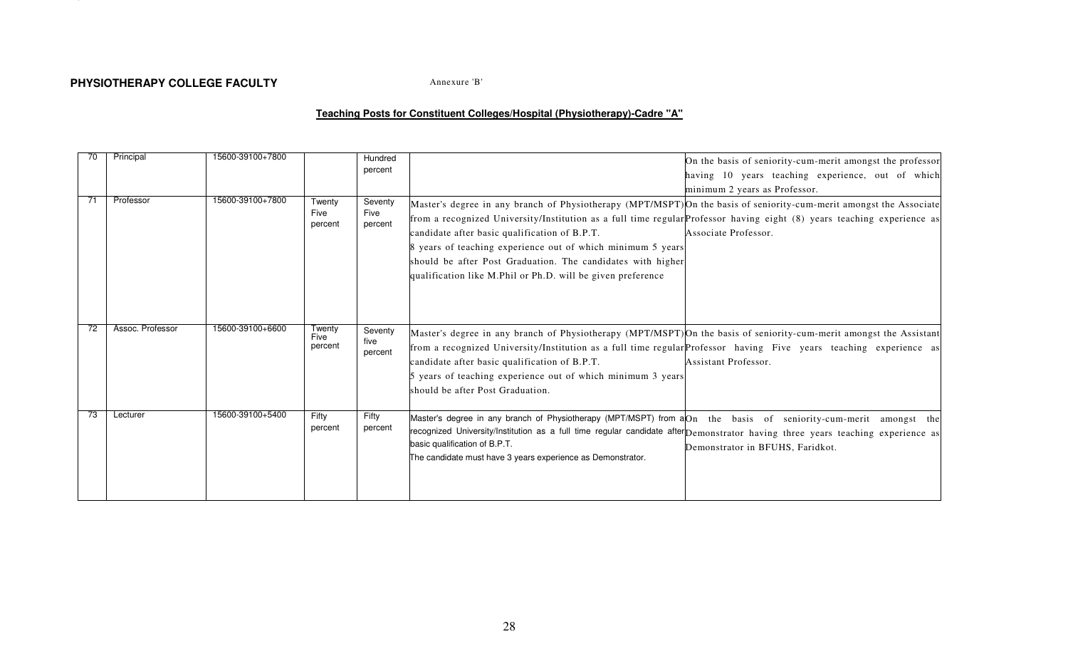## LAND SERIES AND THE SERIES OF THE SERIES OF THE SAME ADDEREST THE SAME ADDEREST THE SAME CALL THE SAME CALL THE<br>Annexure 'B

|     | Principal        | 15600-39100+7800 |                           | Hundred<br>percent         | On the basis of seniority-cum-merit amongst the professor<br>having 10 years teaching experience, out of which<br>minimum 2 years as Professor.                                                                                                                                                                                                                                                                                                                                                                      |
|-----|------------------|------------------|---------------------------|----------------------------|----------------------------------------------------------------------------------------------------------------------------------------------------------------------------------------------------------------------------------------------------------------------------------------------------------------------------------------------------------------------------------------------------------------------------------------------------------------------------------------------------------------------|
| -71 | Professor        | 15600-39100+7800 | Twenty<br>Five<br>percent | Seventy<br>Five<br>percent | Master's degree in any branch of Physiotherapy (MPT/MSPT) On the basis of seniority-cum-merit amongst the Associate<br>from a recognized University/Institution as a full time regular Professor having eight (8) years teaching experience as<br>candidate after basic qualification of B.P.T.<br>Associate Professor.<br>8 years of teaching experience out of which minimum 5 years<br>should be after Post Graduation. The candidates with higher<br>qualification like M.Phil or Ph.D. will be given preference |
| 72  | Assoc. Professor | 15600-39100+6600 | Twenty<br>Five<br>percent | Seventy<br>five<br>percent | Master's degree in any branch of Physiotherapy (MPT/MSPT) On the basis of seniority-cum-merit amongst the Assistant<br>from a recognized University/Institution as a full time regular Professor having Five years teaching experience as<br>candidate after basic qualification of B.P.T.<br>Assistant Professor.<br>5 years of teaching experience out of which minimum 3 years<br>should be after Post Graduation.                                                                                                |
| 73  | Lecturer         | 15600-39100+5400 | Fifty<br>percent          | Fifty<br>percent           | Master's degree in any branch of Physiotherapy (MPT/MSPT) from aOn the basis of seniority-cum-merit amongst the<br>recognized University/Institution as a full time regular candidate after Demonstrator having three years teaching experience as<br>basic qualification of B.P.T.<br>Demonstrator in BFUHS, Faridkot.<br>The candidate must have 3 years experience as Demonstrator.                                                                                                                               |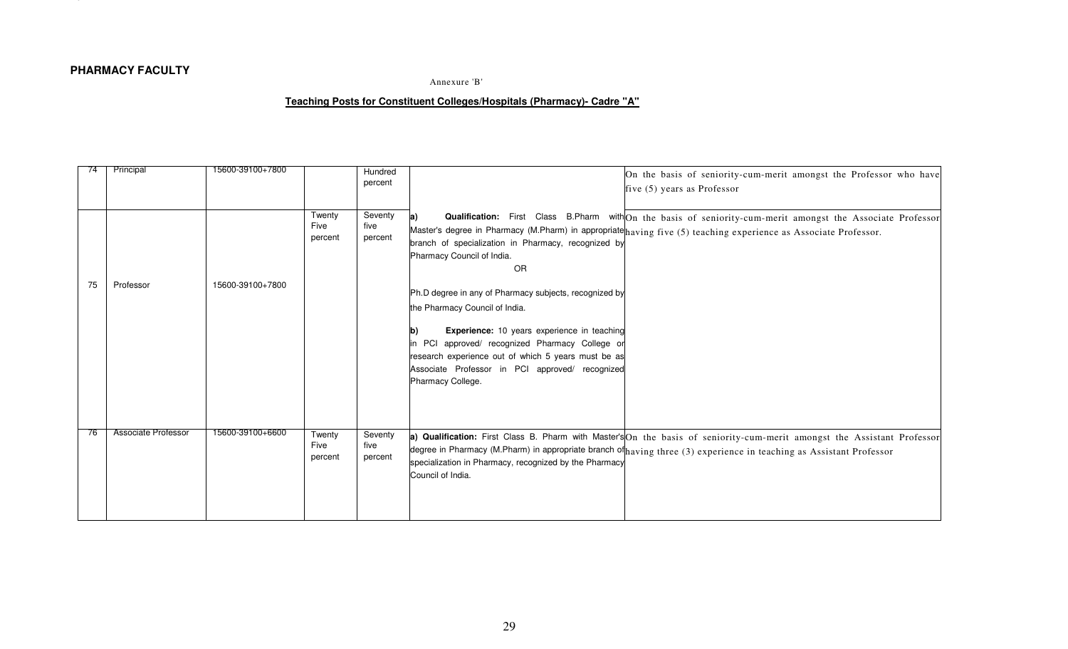|    | PHARMACY FACULTY           |                  |                           |                            | Annexure 'B'                                                                                                                                                                                                                                                                                                                              |
|----|----------------------------|------------------|---------------------------|----------------------------|-------------------------------------------------------------------------------------------------------------------------------------------------------------------------------------------------------------------------------------------------------------------------------------------------------------------------------------------|
|    |                            |                  |                           |                            | Teaching Posts for Constituent Colleges/Hospitals (Pharmacy)- Cadre "A"                                                                                                                                                                                                                                                                   |
|    |                            |                  |                           |                            |                                                                                                                                                                                                                                                                                                                                           |
|    | Principal                  | 15600-39100+7800 |                           | Hundred<br>percent         | On the basis of seniority-cum-merit amongst the Professor who have<br>five (5) years as Professor                                                                                                                                                                                                                                         |
| 75 | Professor                  | 15600-39100+7800 | Twenty<br>Five<br>percent | Seventy<br>five<br>percent | Qualification: First Class B.Pharm with On the basis of seniority-cum-merit amongst the Associate Professor<br>la)<br>Master's degree in Pharmacy (M.Pharm) in appropriate having five (5) teaching experience as Associate Professor.<br>branch of specialization in Pharmacy, recognized by<br>Pharmacy Council of India.<br>OR         |
|    |                            |                  |                           |                            | Ph.D degree in any of Pharmacy subjects, recognized by<br>the Pharmacy Council of India.<br>Experience: 10 years experience in teaching<br>$\mathbf{b}$<br>in PCI approved/ recognized Pharmacy College or<br>research experience out of which 5 years must be as<br>Associate Professor in PCI approved/ recognized<br>Pharmacy College. |
| 76 | <b>Associate Professor</b> | 15600-39100+6600 | Twenty<br>Five<br>percent | Seventy<br>five<br>percent | a) Qualification: First Class B. Pharm with Master's On the basis of seniority-cum-merit amongst the Assistant Professor<br>degree in Pharmacy (M.Pharm) in appropriate branch of having three (3) experience in teaching as Assistant Professor<br>specialization in Pharmacy, recognized by the Pharmacy<br>Council of India.           |
|    |                            |                  |                           |                            |                                                                                                                                                                                                                                                                                                                                           |
|    |                            |                  |                           |                            |                                                                                                                                                                                                                                                                                                                                           |
|    |                            |                  |                           |                            | 29                                                                                                                                                                                                                                                                                                                                        |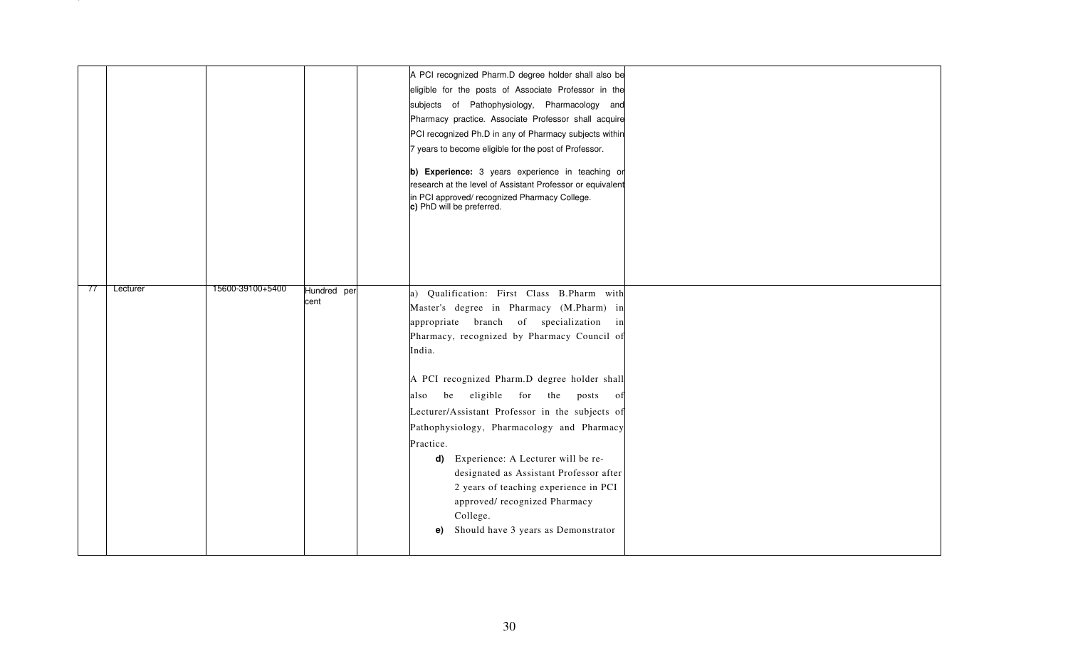|     |          |                  |                     | A PCI recognized Pharm.D degree holder shall also be<br>eligible for the posts of Associate Professor in the<br>subjects of Pathophysiology, Pharmacology and<br>Pharmacy practice. Associate Professor shall acquire<br>PCI recognized Ph.D in any of Pharmacy subjects within<br>7 years to become eligible for the post of Professor.<br>b) Experience: 3 years experience in teaching or<br>research at the level of Assistant Professor or equivalent<br>in PCI approved/ recognized Pharmacy College.<br>c) PhD will be preferred.                                                                                  |
|-----|----------|------------------|---------------------|---------------------------------------------------------------------------------------------------------------------------------------------------------------------------------------------------------------------------------------------------------------------------------------------------------------------------------------------------------------------------------------------------------------------------------------------------------------------------------------------------------------------------------------------------------------------------------------------------------------------------|
| -77 | Lecturer | 15600-39100+5400 | Hundred per<br>cent | a) Qualification: First Class B.Pharm with<br>Master's degree in Pharmacy (M.Pharm) in<br>appropriate branch of specialization in<br>Pharmacy, recognized by Pharmacy Council of<br>India.<br>A PCI recognized Pharm.D degree holder shall<br>be eligible for the posts<br>also<br>of<br>Lecturer/Assistant Professor in the subjects of<br>Pathophysiology, Pharmacology and Pharmacy<br>Practice.<br>d) Experience: A Lecturer will be re-<br>designated as Assistant Professor after<br>2 years of teaching experience in PCI<br>approved/recognized Pharmacy<br>College.<br>Should have 3 years as Demonstrator<br>e) |
|     |          |                  |                     | 30                                                                                                                                                                                                                                                                                                                                                                                                                                                                                                                                                                                                                        |